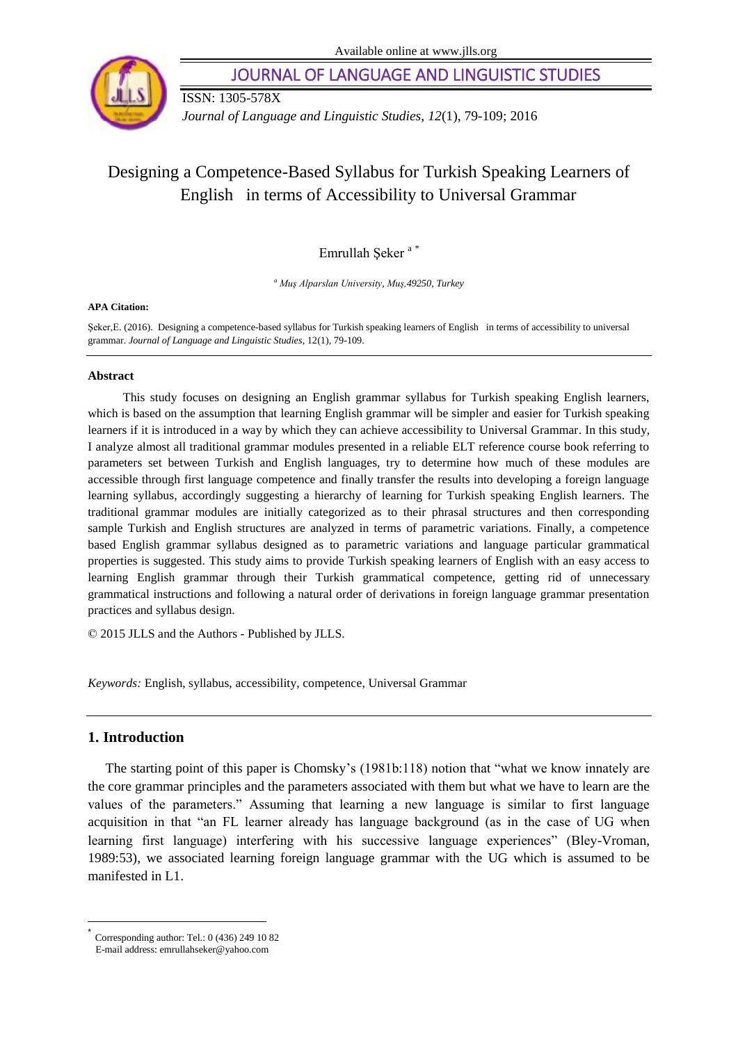

JOURNAL OF LANGUAGE AND LINGUISTIC STUDIES

ISSN: 1305-578X

*Journal of Language and Linguistic Studies, 12*(1), 79-109; 2016

# Designing a Competence-Based Syllabus for Turkish Speaking Learners of English in terms of Accessibility to Universal Grammar

Emrullah Şeker <sup>a</sup> \*

*<sup>a</sup> Muş Alparslan University, Muş,49250, Turkey*

### **APA Citation:**

Şeker,E. (2016). Designing a competence-based syllabus for Turkish speaking learners of English in terms of accessibility to universal grammar. *Journal of Language and Linguistic Studies*, 12(1), 79-109.

### **Abstract**

This study focuses on designing an English grammar syllabus for Turkish speaking English learners, which is based on the assumption that learning English grammar will be simpler and easier for Turkish speaking learners if it is introduced in a way by which they can achieve accessibility to Universal Grammar. In this study, I analyze almost all traditional grammar modules presented in a reliable ELT reference course book referring to parameters set between Turkish and English languages, try to determine how much of these modules are accessible through first language competence and finally transfer the results into developing a foreign language learning syllabus, accordingly suggesting a hierarchy of learning for Turkish speaking English learners. The traditional grammar modules are initially categorized as to their phrasal structures and then corresponding sample Turkish and English structures are analyzed in terms of parametric variations. Finally, a competence based English grammar syllabus designed as to parametric variations and language particular grammatical properties is suggested. This study aims to provide Turkish speaking learners of English with an easy access to learning English grammar through their Turkish grammatical competence, getting rid of unnecessary grammatical instructions and following a natural order of derivations in foreign language grammar presentation practices and syllabus design.

© 2015 JLLS and the Authors - Published by JLLS.

*Keywords:* English, syllabus, accessibility, competence, Universal Grammar

# **1. Introduction**

l

The starting point of this paper is Chomsky"s (1981b:118) notion that "what we know innately are the core grammar principles and the parameters associated with them but what we have to learn are the values of the parameters." Assuming that learning a new language is similar to first language acquisition in that "an FL learner already has language background (as in the case of UG when learning first language) interfering with his successive language experiences" (Bley-Vroman, 1989:53), we associated learning foreign language grammar with the UG which is assumed to be manifested in L1.

<sup>\*</sup> Corresponding author: Tel.: 0 (436) 249 10 82 E-mail address: emrullahseker@yahoo.com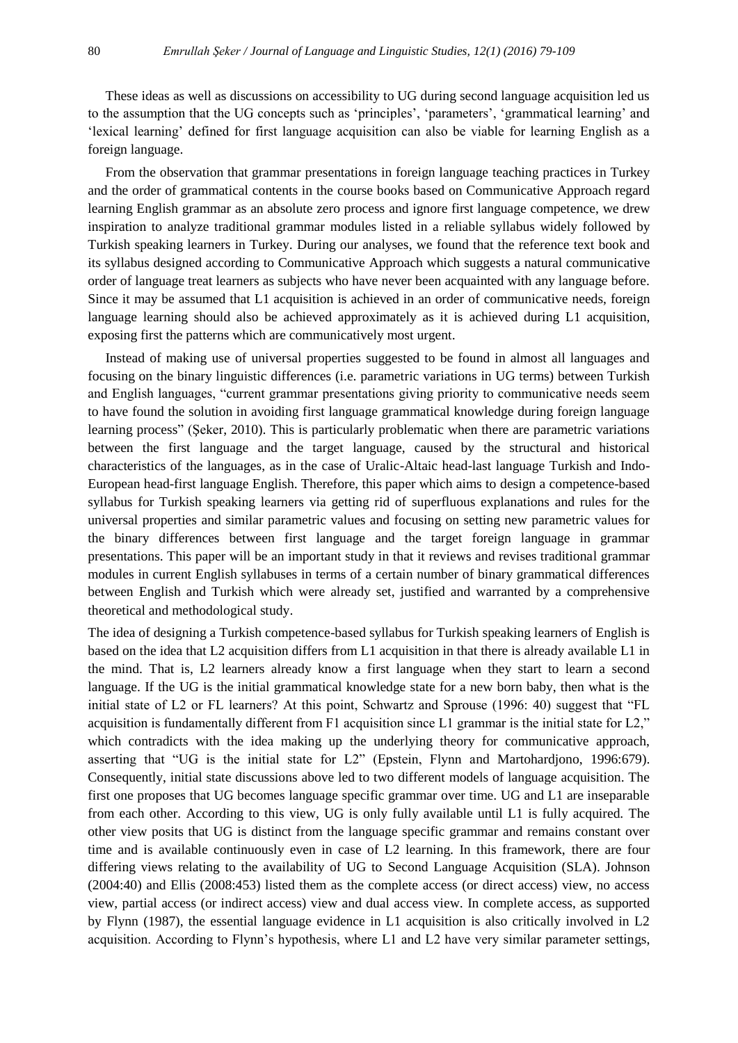These ideas as well as discussions on accessibility to UG during second language acquisition led us to the assumption that the UG concepts such as "principles", "parameters", "grammatical learning" and "lexical learning" defined for first language acquisition can also be viable for learning English as a foreign language.

From the observation that grammar presentations in foreign language teaching practices in Turkey and the order of grammatical contents in the course books based on Communicative Approach regard learning English grammar as an absolute zero process and ignore first language competence, we drew inspiration to analyze traditional grammar modules listed in a reliable syllabus widely followed by Turkish speaking learners in Turkey. During our analyses, we found that the reference text book and its syllabus designed according to Communicative Approach which suggests a natural communicative order of language treat learners as subjects who have never been acquainted with any language before. Since it may be assumed that L1 acquisition is achieved in an order of communicative needs, foreign language learning should also be achieved approximately as it is achieved during L1 acquisition, exposing first the patterns which are communicatively most urgent.

Instead of making use of universal properties suggested to be found in almost all languages and focusing on the binary linguistic differences (i.e. parametric variations in UG terms) between Turkish and English languages, "current grammar presentations giving priority to communicative needs seem to have found the solution in avoiding first language grammatical knowledge during foreign language learning process" (Şeker, 2010). This is particularly problematic when there are parametric variations between the first language and the target language, caused by the structural and historical characteristics of the languages, as in the case of Uralic-Altaic head-last language Turkish and Indo-European head-first language English. Therefore, this paper which aims to design a competence-based syllabus for Turkish speaking learners via getting rid of superfluous explanations and rules for the universal properties and similar parametric values and focusing on setting new parametric values for the binary differences between first language and the target foreign language in grammar presentations. This paper will be an important study in that it reviews and revises traditional grammar modules in current English syllabuses in terms of a certain number of binary grammatical differences between English and Turkish which were already set, justified and warranted by a comprehensive theoretical and methodological study.

The idea of designing a Turkish competence-based syllabus for Turkish speaking learners of English is based on the idea that L2 acquisition differs from L1 acquisition in that there is already available L1 in the mind. That is, L2 learners already know a first language when they start to learn a second language. If the UG is the initial grammatical knowledge state for a new born baby, then what is the initial state of L2 or FL learners? At this point, Schwartz and Sprouse (1996: 40) suggest that "FL acquisition is fundamentally different from F1 acquisition since L1 grammar is the initial state for L2," which contradicts with the idea making up the underlying theory for communicative approach, asserting that "UG is the initial state for L2" (Epstein, Flynn and Martohardjono, 1996:679). Consequently, initial state discussions above led to two different models of language acquisition. The first one proposes that UG becomes language specific grammar over time. UG and L1 are inseparable from each other. According to this view, UG is only fully available until L1 is fully acquired. The other view posits that UG is distinct from the language specific grammar and remains constant over time and is available continuously even in case of L2 learning. In this framework, there are four differing views relating to the availability of UG to Second Language Acquisition (SLA). Johnson (2004:40) and Ellis (2008:453) listed them as the complete access (or direct access) view, no access view, partial access (or indirect access) view and dual access view. In complete access, as supported by Flynn (1987), the essential language evidence in L1 acquisition is also critically involved in L2 acquisition. According to Flynn"s hypothesis, where L1 and L2 have very similar parameter settings,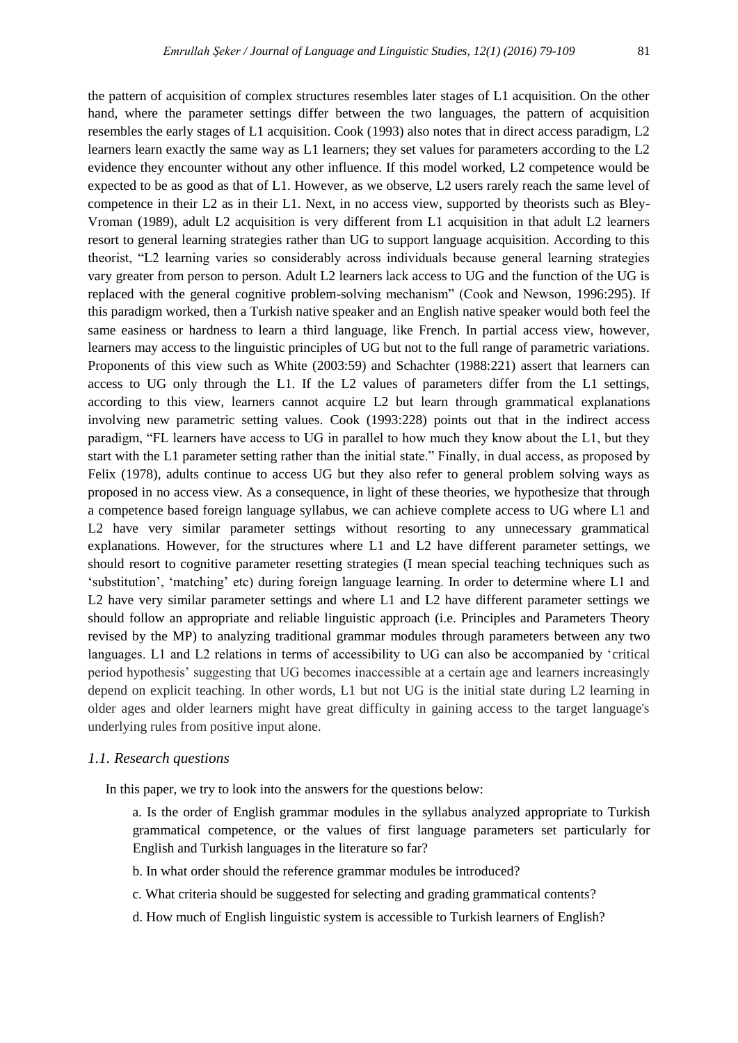the pattern of acquisition of complex structures resembles later stages of L1 acquisition. On the other hand, where the parameter settings differ between the two languages, the pattern of acquisition resembles the early stages of L1 acquisition. Cook (1993) also notes that in direct access paradigm, L2 learners learn exactly the same way as L1 learners; they set values for parameters according to the L2 evidence they encounter without any other influence. If this model worked, L2 competence would be expected to be as good as that of L1. However, as we observe, L2 users rarely reach the same level of competence in their L2 as in their L1. Next, in no access view, supported by theorists such as Bley-Vroman (1989), adult L2 acquisition is very different from L1 acquisition in that adult L2 learners resort to general learning strategies rather than UG to support language acquisition. According to this theorist, "L2 learning varies so considerably across individuals because general learning strategies vary greater from person to person. Adult L2 learners lack access to UG and the function of the UG is replaced with the general cognitive problem-solving mechanism" (Cook and Newson, 1996:295). If this paradigm worked, then a Turkish native speaker and an English native speaker would both feel the same easiness or hardness to learn a third language, like French. In partial access view, however, learners may access to the linguistic principles of UG but not to the full range of parametric variations. Proponents of this view such as White (2003:59) and Schachter (1988:221) assert that learners can access to UG only through the L1. If the L2 values of parameters differ from the L1 settings, according to this view, learners cannot acquire L2 but learn through grammatical explanations involving new parametric setting values. Cook (1993:228) points out that in the indirect access paradigm, "FL learners have access to UG in parallel to how much they know about the L1, but they start with the L1 parameter setting rather than the initial state." Finally, in dual access, as proposed by Felix (1978), adults continue to access UG but they also refer to general problem solving ways as proposed in no access view. As a consequence, in light of these theories, we hypothesize that through a competence based foreign language syllabus, we can achieve complete access to UG where L1 and L2 have very similar parameter settings without resorting to any unnecessary grammatical explanations. However, for the structures where L1 and L2 have different parameter settings, we should resort to cognitive parameter resetting strategies (I mean special teaching techniques such as "substitution", "matching" etc) during foreign language learning. In order to determine where L1 and L2 have very similar parameter settings and where L1 and L2 have different parameter settings we should follow an appropriate and reliable linguistic approach (i.e. Principles and Parameters Theory revised by the MP) to analyzing traditional grammar modules through parameters between any two languages. L1 and L2 relations in terms of accessibility to UG can also be accompanied by "critical period hypothesis" suggesting that UG becomes inaccessible at a certain age and learners increasingly depend on explicit teaching. In other words, L1 but not UG is the initial state during L2 learning in older ages and older learners might have great difficulty in gaining access to the target language's underlying rules from positive input alone.

# *1.1. Research questions*

In this paper, we try to look into the answers for the questions below:

- a. Is the order of English grammar modules in the syllabus analyzed appropriate to Turkish grammatical competence, or the values of first language parameters set particularly for English and Turkish languages in the literature so far?
- b. In what order should the reference grammar modules be introduced?
- c. What criteria should be suggested for selecting and grading grammatical contents?
- d. How much of English linguistic system is accessible to Turkish learners of English?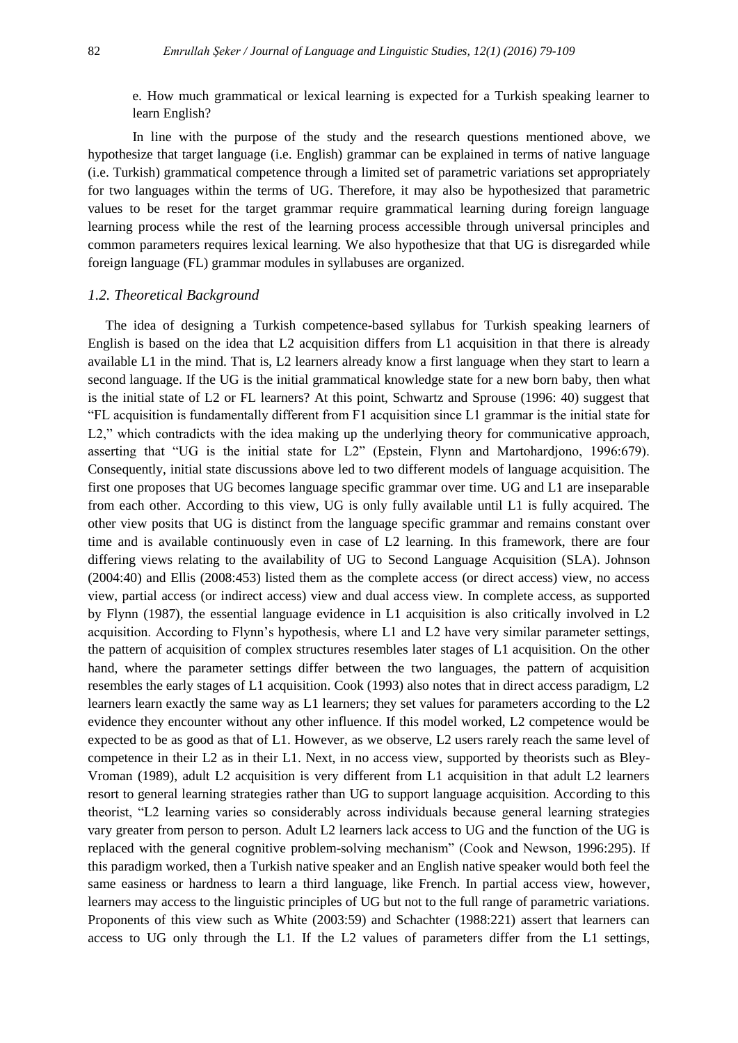e. How much grammatical or lexical learning is expected for a Turkish speaking learner to learn English?

In line with the purpose of the study and the research questions mentioned above, we hypothesize that target language (i.e. English) grammar can be explained in terms of native language (i.e. Turkish) grammatical competence through a limited set of parametric variations set appropriately for two languages within the terms of UG. Therefore, it may also be hypothesized that parametric values to be reset for the target grammar require grammatical learning during foreign language learning process while the rest of the learning process accessible through universal principles and common parameters requires lexical learning. We also hypothesize that that UG is disregarded while foreign language (FL) grammar modules in syllabuses are organized.

# *1.2. Theoretical Background*

The idea of designing a Turkish competence-based syllabus for Turkish speaking learners of English is based on the idea that L2 acquisition differs from L1 acquisition in that there is already available L1 in the mind. That is, L2 learners already know a first language when they start to learn a second language. If the UG is the initial grammatical knowledge state for a new born baby, then what is the initial state of L2 or FL learners? At this point, Schwartz and Sprouse (1996: 40) suggest that "FL acquisition is fundamentally different from F1 acquisition since L1 grammar is the initial state for L2," which contradicts with the idea making up the underlying theory for communicative approach, asserting that "UG is the initial state for L2" (Epstein, Flynn and Martohardjono, 1996:679). Consequently, initial state discussions above led to two different models of language acquisition. The first one proposes that UG becomes language specific grammar over time. UG and L1 are inseparable from each other. According to this view, UG is only fully available until L1 is fully acquired. The other view posits that UG is distinct from the language specific grammar and remains constant over time and is available continuously even in case of L2 learning. In this framework, there are four differing views relating to the availability of UG to Second Language Acquisition (SLA). Johnson (2004:40) and Ellis (2008:453) listed them as the complete access (or direct access) view, no access view, partial access (or indirect access) view and dual access view. In complete access, as supported by Flynn (1987), the essential language evidence in L1 acquisition is also critically involved in L2 acquisition. According to Flynn"s hypothesis, where L1 and L2 have very similar parameter settings, the pattern of acquisition of complex structures resembles later stages of L1 acquisition. On the other hand, where the parameter settings differ between the two languages, the pattern of acquisition resembles the early stages of L1 acquisition. Cook (1993) also notes that in direct access paradigm, L2 learners learn exactly the same way as L1 learners; they set values for parameters according to the L2 evidence they encounter without any other influence. If this model worked, L2 competence would be expected to be as good as that of L1. However, as we observe, L2 users rarely reach the same level of competence in their L2 as in their L1. Next, in no access view, supported by theorists such as Bley-Vroman (1989), adult L2 acquisition is very different from L1 acquisition in that adult L2 learners resort to general learning strategies rather than UG to support language acquisition. According to this theorist, "L2 learning varies so considerably across individuals because general learning strategies vary greater from person to person. Adult L2 learners lack access to UG and the function of the UG is replaced with the general cognitive problem-solving mechanism" (Cook and Newson, 1996:295). If this paradigm worked, then a Turkish native speaker and an English native speaker would both feel the same easiness or hardness to learn a third language, like French. In partial access view, however, learners may access to the linguistic principles of UG but not to the full range of parametric variations. Proponents of this view such as White (2003:59) and Schachter (1988:221) assert that learners can access to UG only through the L1. If the L2 values of parameters differ from the L1 settings,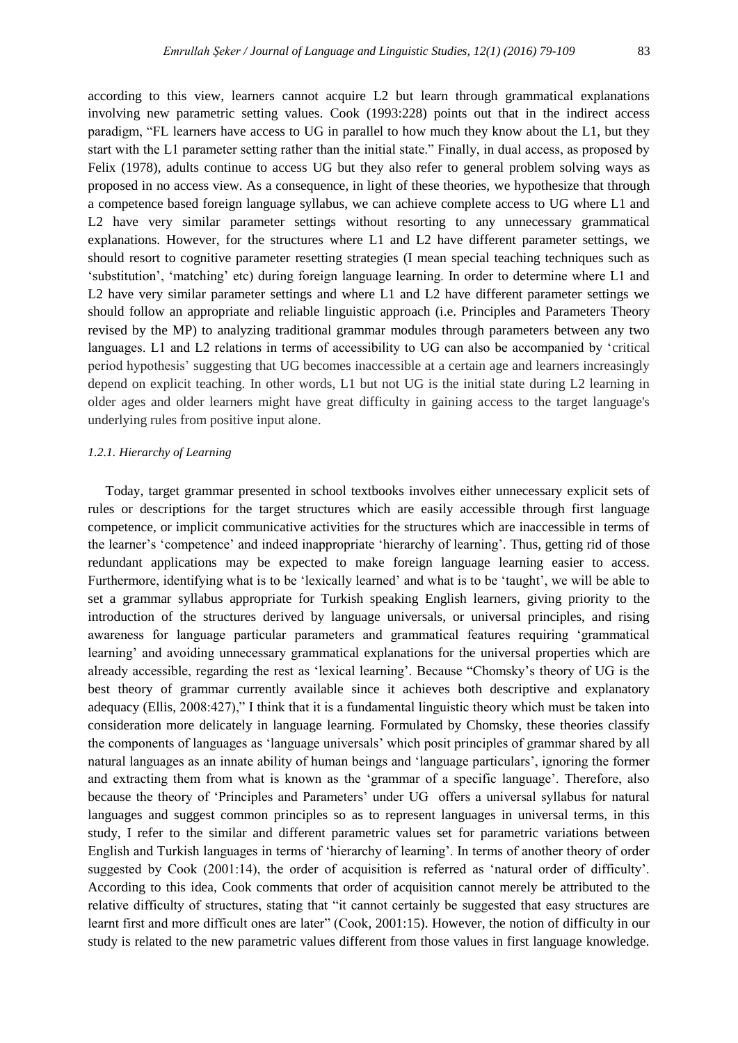according to this view, learners cannot acquire L2 but learn through grammatical explanations involving new parametric setting values. Cook (1993:228) points out that in the indirect access paradigm, "FL learners have access to UG in parallel to how much they know about the L1, but they start with the L1 parameter setting rather than the initial state." Finally, in dual access, as proposed by Felix (1978), adults continue to access UG but they also refer to general problem solving ways as proposed in no access view. As a consequence, in light of these theories, we hypothesize that through a competence based foreign language syllabus, we can achieve complete access to UG where L1 and L2 have very similar parameter settings without resorting to any unnecessary grammatical explanations. However, for the structures where L1 and L2 have different parameter settings, we should resort to cognitive parameter resetting strategies (I mean special teaching techniques such as "substitution", "matching" etc) during foreign language learning. In order to determine where L1 and L2 have very similar parameter settings and where L1 and L2 have different parameter settings we should follow an appropriate and reliable linguistic approach (i.e. Principles and Parameters Theory revised by the MP) to analyzing traditional grammar modules through parameters between any two languages. L1 and L2 relations in terms of accessibility to UG can also be accompanied by 'critical period hypothesis" suggesting that UG becomes inaccessible at a certain age and learners increasingly depend on explicit teaching. In other words, L1 but not UG is the initial state during L2 learning in older ages and older learners might have great difficulty in gaining access to the target language's underlying rules from positive input alone.

# *1.2.1. Hierarchy of Learning*

Today, target grammar presented in school textbooks involves either unnecessary explicit sets of rules or descriptions for the target structures which are easily accessible through first language competence, or implicit communicative activities for the structures which are inaccessible in terms of the learner"s "competence" and indeed inappropriate "hierarchy of learning". Thus, getting rid of those redundant applications may be expected to make foreign language learning easier to access. Furthermore, identifying what is to be "lexically learned" and what is to be "taught", we will be able to set a grammar syllabus appropriate for Turkish speaking English learners, giving priority to the introduction of the structures derived by language universals, or universal principles, and rising awareness for language particular parameters and grammatical features requiring "grammatical learning" and avoiding unnecessary grammatical explanations for the universal properties which are already accessible, regarding the rest as "lexical learning". Because "Chomsky"s theory of UG is the best theory of grammar currently available since it achieves both descriptive and explanatory adequacy (Ellis, 2008:427)," I think that it is a fundamental linguistic theory which must be taken into consideration more delicately in language learning. Formulated by Chomsky, these theories classify the components of languages as "language universals" which posit principles of grammar shared by all natural languages as an innate ability of human beings and "language particulars", ignoring the former and extracting them from what is known as the "grammar of a specific language". Therefore, also because the theory of "Principles and Parameters" under UG offers a universal syllabus for natural languages and suggest common principles so as to represent languages in universal terms, in this study, I refer to the similar and different parametric values set for parametric variations between English and Turkish languages in terms of "hierarchy of learning". In terms of another theory of order suggested by Cook (2001:14), the order of acquisition is referred as "natural order of difficulty". According to this idea, Cook comments that order of acquisition cannot merely be attributed to the relative difficulty of structures, stating that "it cannot certainly be suggested that easy structures are learnt first and more difficult ones are later" (Cook, 2001:15). However, the notion of difficulty in our study is related to the new parametric values different from those values in first language knowledge.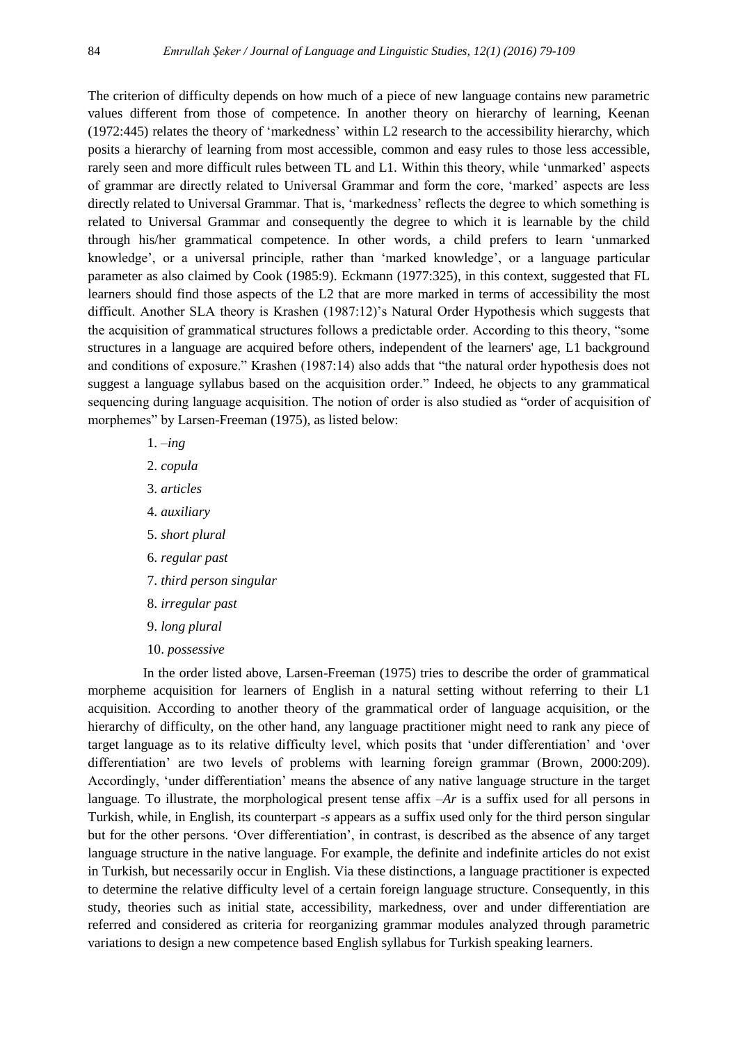The criterion of difficulty depends on how much of a piece of new language contains new parametric values different from those of competence. In another theory on hierarchy of learning, Keenan (1972:445) relates the theory of "markedness" within L2 research to the accessibility hierarchy, which posits a hierarchy of learning from most accessible, common and easy rules to those less accessible, rarely seen and more difficult rules between TL and L1. Within this theory, while "unmarked" aspects of grammar are directly related to Universal Grammar and form the core, "marked" aspects are less directly related to Universal Grammar. That is, 'markedness' reflects the degree to which something is related to Universal Grammar and consequently the degree to which it is learnable by the child through his/her grammatical competence. In other words, a child prefers to learn "unmarked knowledge", or a universal principle, rather than "marked knowledge", or a language particular parameter as also claimed by Cook (1985:9). Eckmann (1977:325), in this context, suggested that FL learners should find those aspects of the L2 that are more marked in terms of accessibility the most difficult. Another SLA theory is Krashen (1987:12)"s Natural Order Hypothesis which suggests that the acquisition of grammatical structures follows a predictable order. According to this theory, "some structures in a language are acquired before others, independent of the learners' age, L1 background and conditions of exposure." Krashen (1987:14) also adds that "the natural order hypothesis does not suggest a language syllabus based on the acquisition order." Indeed, he objects to any grammatical sequencing during language acquisition. The notion of order is also studied as "order of acquisition of morphemes" by Larsen-Freeman (1975), as listed below:

- 1. –*ing*
- 2. *copula*
- 3. *articles*
- 4. *auxiliary*
- 5. *short plural*
- 6. *regular past*
- 7. *third person singular*
- 8. *irregular past*
- 9. *long plural*
- 10. *possessive*

 In the order listed above, Larsen-Freeman (1975) tries to describe the order of grammatical morpheme acquisition for learners of English in a natural setting without referring to their L1 acquisition. According to another theory of the grammatical order of language acquisition, or the hierarchy of difficulty, on the other hand, any language practitioner might need to rank any piece of target language as to its relative difficulty level, which posits that "under differentiation" and "over differentiation' are two levels of problems with learning foreign grammar (Brown, 2000:209). Accordingly, "under differentiation" means the absence of any native language structure in the target language*.* To illustrate, the morphological present tense affix *–Ar* is a suffix used for all persons in Turkish, while, in English, its counterpart *-s* appears as a suffix used only for the third person singular but for the other persons. "Over differentiation", in contrast, is described as the absence of any target language structure in the native language*.* For example, the definite and indefinite articles do not exist in Turkish, but necessarily occur in English. Via these distinctions, a language practitioner is expected to determine the relative difficulty level of a certain foreign language structure. Consequently, in this study, theories such as initial state, accessibility, markedness, over and under differentiation are referred and considered as criteria for reorganizing grammar modules analyzed through parametric variations to design a new competence based English syllabus for Turkish speaking learners.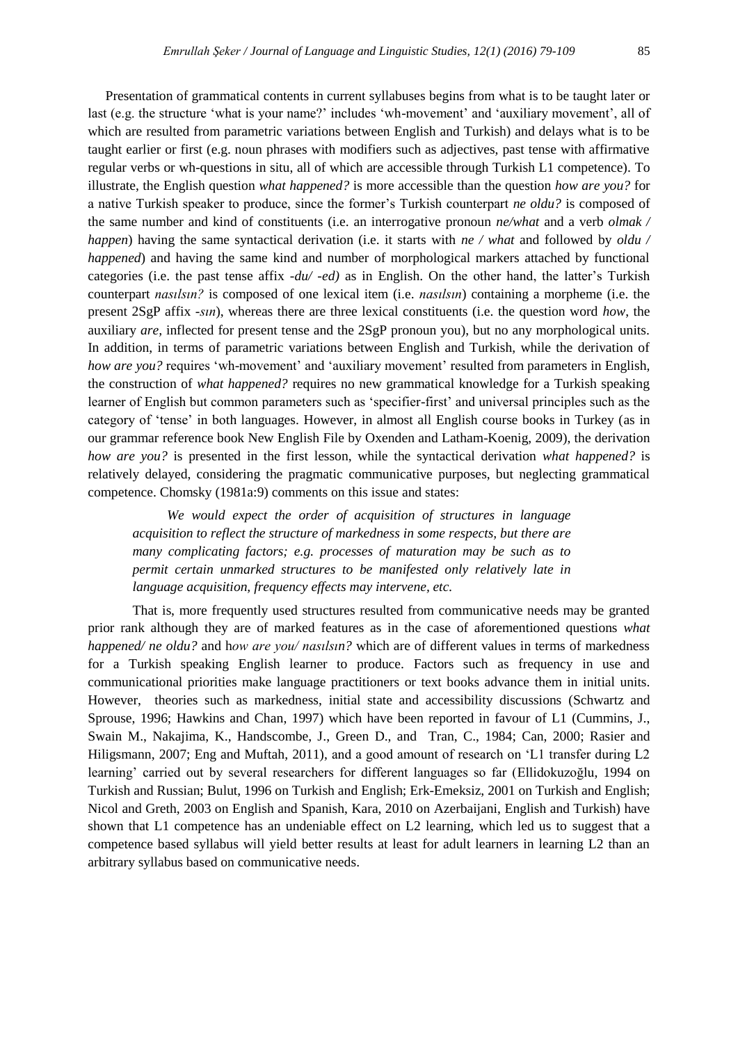Presentation of grammatical contents in current syllabuses begins from what is to be taught later or last (e.g. the structure 'what is your name?' includes 'wh-movement' and 'auxiliary movement', all of which are resulted from parametric variations between English and Turkish) and delays what is to be taught earlier or first (e.g. noun phrases with modifiers such as adjectives, past tense with affirmative regular verbs or wh-questions in situ, all of which are accessible through Turkish L1 competence). To illustrate, the English question *what happened?* is more accessible than the question *how are you?* for a native Turkish speaker to produce, since the former"s Turkish counterpart *ne oldu?* is composed of the same number and kind of constituents (i.e. an interrogative pronoun *ne/what* and a verb *olmak / happen*) having the same syntactical derivation (i.e. it starts with *ne / what* and followed by *oldu / happened*) and having the same kind and number of morphological markers attached by functional categories (i.e. the past tense affix *-du/ -ed)* as in English. On the other hand, the latter"s Turkish counterpart *nasılsın?* is composed of one lexical item (i.e. *nasılsın*) containing a morpheme (i.e. the present 2SgP affix *-sın*), whereas there are three lexical constituents (i.e. the question word *how*, the auxiliary *are,* inflected for present tense and the 2SgP pronoun you), but no any morphological units. In addition, in terms of parametric variations between English and Turkish, while the derivation of *how are you?* requires 'wh-movement' and 'auxiliary movement' resulted from parameters in English, the construction of *what happened?* requires no new grammatical knowledge for a Turkish speaking learner of English but common parameters such as "specifier-first" and universal principles such as the category of "tense" in both languages. However, in almost all English course books in Turkey (as in our grammar reference book New English File by Oxenden and Latham-Koenig, 2009), the derivation *how are you?* is presented in the first lesson, while the syntactical derivation *what happened?* is relatively delayed, considering the pragmatic communicative purposes, but neglecting grammatical competence. Chomsky (1981a:9) comments on this issue and states:

*We would expect the order of acquisition of structures in language acquisition to reflect the structure of markedness in some respects, but there are many complicating factors; e.g. processes of maturation may be such as to permit certain unmarked structures to be manifested only relatively late in language acquisition, frequency effects may intervene, etc.* 

That is, more frequently used structures resulted from communicative needs may be granted prior rank although they are of marked features as in the case of aforementioned questions *what happened/ ne oldu?* and h*ow are you/ nasılsın?* which are of different values in terms of markedness for a Turkish speaking English learner to produce. Factors such as frequency in use and communicational priorities make language practitioners or text books advance them in initial units. However, theories such as markedness, initial state and accessibility discussions (Schwartz and Sprouse, 1996; Hawkins and Chan, 1997) which have been reported in favour of L1 (Cummins, J., Swain M., Nakajima, K., Handscombe, J., Green D., and Tran, C., 1984; Can, 2000; Rasier and Hiligsmann, 2007; Eng and Muftah, 2011), and a good amount of research on "L1 transfer during L2 learning" carried out by several researchers for different languages so far (Ellidokuzoğlu, 1994 on Turkish and Russian; Bulut, 1996 on Turkish and English; Erk-Emeksiz, 2001 on Turkish and English; Nicol and Greth, 2003 on English and Spanish, Kara, 2010 on Azerbaijani, English and Turkish) have shown that L1 competence has an undeniable effect on L2 learning, which led us to suggest that a competence based syllabus will yield better results at least for adult learners in learning L2 than an arbitrary syllabus based on communicative needs.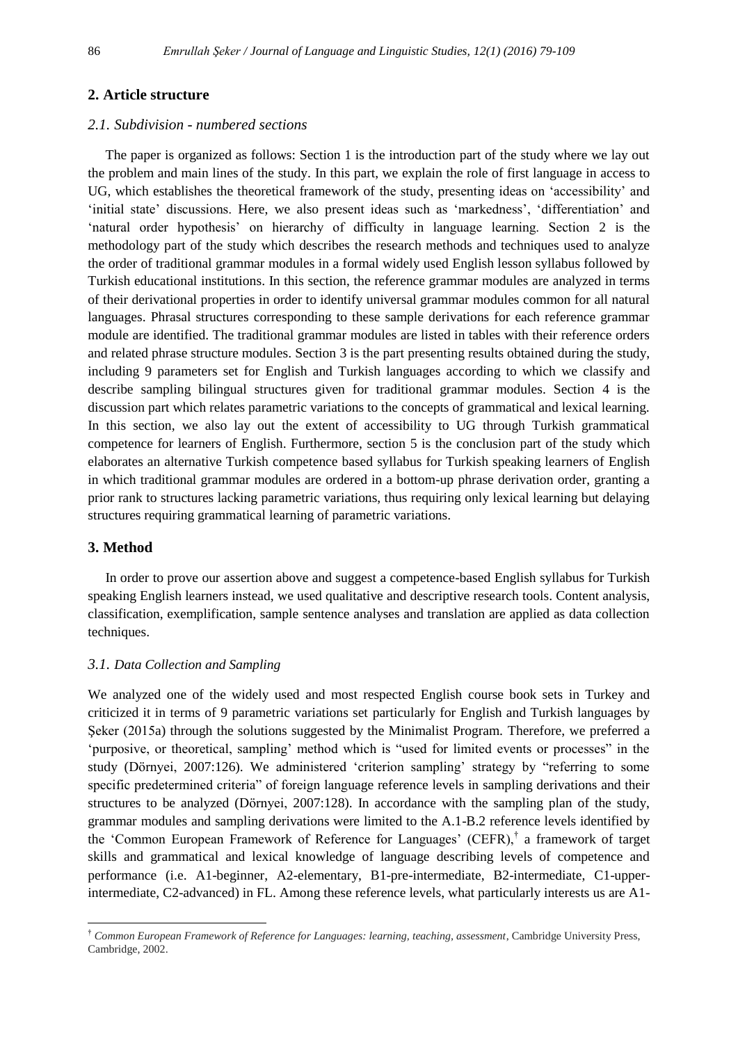# **2. Article structure**

### *2.1. Subdivision - numbered sections*

The paper is organized as follows: Section 1 is the introduction part of the study where we lay out the problem and main lines of the study. In this part, we explain the role of first language in access to UG, which establishes the theoretical framework of the study, presenting ideas on "accessibility" and 'initial state' discussions. Here, we also present ideas such as 'markedness', 'differentiation' and "natural order hypothesis" on hierarchy of difficulty in language learning. Section 2 is the methodology part of the study which describes the research methods and techniques used to analyze the order of traditional grammar modules in a formal widely used English lesson syllabus followed by Turkish educational institutions. In this section, the reference grammar modules are analyzed in terms of their derivational properties in order to identify universal grammar modules common for all natural languages. Phrasal structures corresponding to these sample derivations for each reference grammar module are identified. The traditional grammar modules are listed in tables with their reference orders and related phrase structure modules. Section 3 is the part presenting results obtained during the study, including 9 parameters set for English and Turkish languages according to which we classify and describe sampling bilingual structures given for traditional grammar modules. Section 4 is the discussion part which relates parametric variations to the concepts of grammatical and lexical learning. In this section, we also lay out the extent of accessibility to UG through Turkish grammatical competence for learners of English. Furthermore, section 5 is the conclusion part of the study which elaborates an alternative Turkish competence based syllabus for Turkish speaking learners of English in which traditional grammar modules are ordered in a bottom-up phrase derivation order, granting a prior rank to structures lacking parametric variations, thus requiring only lexical learning but delaying structures requiring grammatical learning of parametric variations.

# **3. Method**

l

In order to prove our assertion above and suggest a competence-based English syllabus for Turkish speaking English learners instead, we used qualitative and descriptive research tools. Content analysis, classification, exemplification, sample sentence analyses and translation are applied as data collection techniques.

## *3.1. Data Collection and Sampling*

We analyzed one of the widely used and most respected English course book sets in Turkey and criticized it in terms of 9 parametric variations set particularly for English and Turkish languages by Şeker (2015a) through the solutions suggested by the Minimalist Program. Therefore, we preferred a "purposive, or theoretical, sampling" method which is "used for limited events or processes" in the study (Dörnyei, 2007:126). We administered "criterion sampling" strategy by "referring to some specific predetermined criteria" of foreign language reference levels in sampling derivations and their structures to be analyzed (Dörnyei, 2007:128). In accordance with the sampling plan of the study, grammar modules and sampling derivations were limited to the A.1-B.2 reference levels identified by the 'Common European Framework of Reference for Languages' (CEFR),<sup>†</sup> a framework of target skills and grammatical and lexical knowledge of language describing levels of competence and performance (i.e. A1-beginner, A2-elementary, B1-pre-intermediate, B2-intermediate, C1-upperintermediate, C2-advanced) in FL. Among these reference levels, what particularly interests us are A1-

<sup>†</sup> *Common European Framework of Reference for Languages: learning, teaching, assessment*, Cambridge University Press, Cambridge, 2002.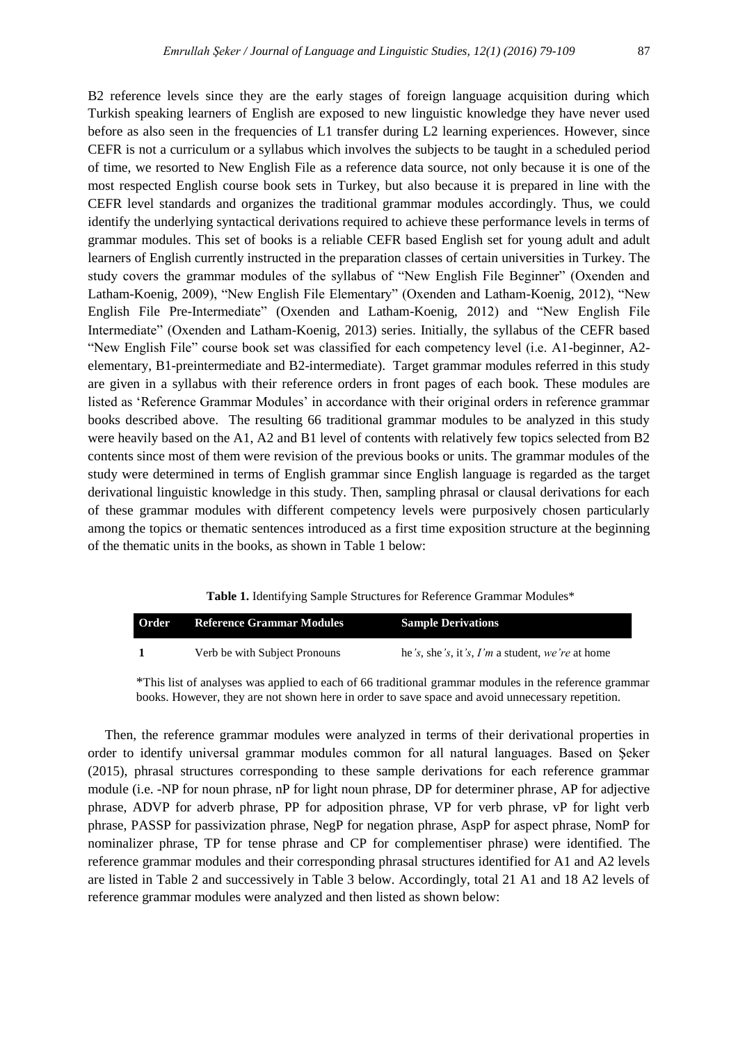B2 reference levels since they are the early stages of foreign language acquisition during which Turkish speaking learners of English are exposed to new linguistic knowledge they have never used before as also seen in the frequencies of L1 transfer during L2 learning experiences. However, since CEFR is not a curriculum or a syllabus which involves the subjects to be taught in a scheduled period of time, we resorted to New English File as a reference data source, not only because it is one of the most respected English course book sets in Turkey, but also because it is prepared in line with the CEFR level standards and organizes the traditional grammar modules accordingly. Thus, we could identify the underlying syntactical derivations required to achieve these performance levels in terms of grammar modules. This set of books is a reliable CEFR based English set for young adult and adult learners of English currently instructed in the preparation classes of certain universities in Turkey. The study covers the grammar modules of the syllabus of "New English File Beginner" (Oxenden and Latham-Koenig, 2009), "New English File Elementary" (Oxenden and Latham-Koenig, 2012), "New English File Pre-Intermediate" (Oxenden and Latham-Koenig, 2012) and "New English File Intermediate" (Oxenden and Latham-Koenig, 2013) series. Initially, the syllabus of the CEFR based "New English File" course book set was classified for each competency level (i.e. A1-beginner, A2 elementary, B1-preintermediate and B2-intermediate). Target grammar modules referred in this study are given in a syllabus with their reference orders in front pages of each book. These modules are listed as "Reference Grammar Modules" in accordance with their original orders in reference grammar books described above. The resulting 66 traditional grammar modules to be analyzed in this study were heavily based on the A1, A2 and B1 level of contents with relatively few topics selected from B2 contents since most of them were revision of the previous books or units. The grammar modules of the study were determined in terms of English grammar since English language is regarded as the target derivational linguistic knowledge in this study. Then, sampling phrasal or clausal derivations for each of these grammar modules with different competency levels were purposively chosen particularly among the topics or thematic sentences introduced as a first time exposition structure at the beginning of the thematic units in the books, as shown in Table 1 below:

| Table 1. Identifying Sample Structures for Reference Grammar Modules* |  |
|-----------------------------------------------------------------------|--|
|-----------------------------------------------------------------------|--|

| Order | <b>Reference Grammar Modules</b> | <b>Sample Derivations</b>                             |
|-------|----------------------------------|-------------------------------------------------------|
|       | Verb be with Subject Pronouns    | he 's, she 's, it 's, $I'm$ a student, we 're at home |

\*This list of analyses was applied to each of 66 traditional grammar modules in the reference grammar books. However, they are not shown here in order to save space and avoid unnecessary repetition.

Then, the reference grammar modules were analyzed in terms of their derivational properties in order to identify universal grammar modules common for all natural languages. Based on Şeker (2015), phrasal structures corresponding to these sample derivations for each reference grammar module (i.e. -NP for noun phrase, nP for light noun phrase, DP for determiner phrase, AP for adjective phrase, ADVP for adverb phrase, PP for adposition phrase, VP for verb phrase, vP for light verb phrase, ADVP for adverb phrase, PP for adposition phrase, VP for verb phrase, vP for light verb phrase, PASSP for passivization phrase, NegP for negation phrase, AspP for aspect phrase, NomP for nominalizer phrase, TP for tense phrase and CP for complementiser phrase) were identified. The reference grammar modules and their corresponding phrasal structures identified for A1 and A2 levels are listed in Table 2 and successively in Table 3 below. Accordingly, total 21 A1 and 18 A2 levels of reference grammar modules were analyzed and then listed as shown below: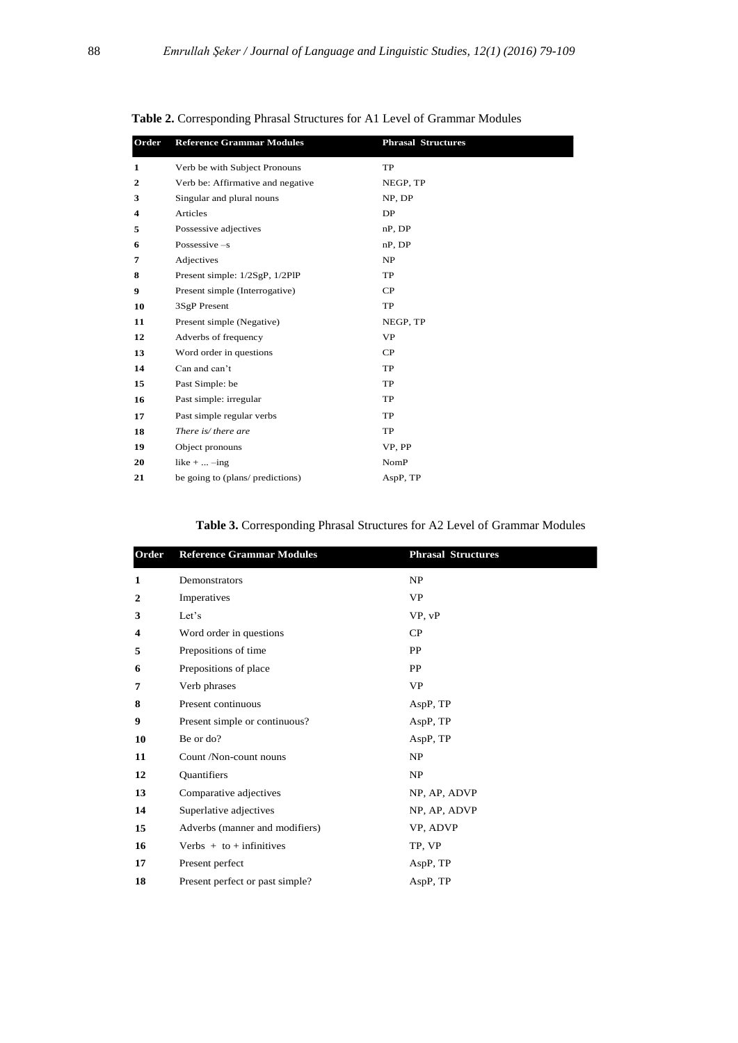| Order        | <b>Reference Grammar Modules</b>  | <b>Phrasal Structures</b> |
|--------------|-----------------------------------|---------------------------|
| 1            | Verb be with Subject Pronouns     | TP                        |
| $\mathbf{2}$ | Verb be: Affirmative and negative | NEGP, TP                  |
| 3            | Singular and plural nouns         | NP, DP                    |
| 4            | Articles                          | DP                        |
| 5            | Possessive adjectives             | nP, DP                    |
| 6            | Possessive $-s$                   | nP, DP                    |
| 7            | Adjectives                        | NP                        |
| 8            | Present simple: 1/2SgP, 1/2PlP    | TP                        |
| 9            | Present simple (Interrogative)    | CP                        |
| 10           | 3SgP Present                      | TP                        |
| 11           | Present simple (Negative)         | NEGP, TP                  |
| 12           | Adverbs of frequency              | <b>VP</b>                 |
| 13           | Word order in questions           | CP                        |
| 14           | Can and can't                     | <b>TP</b>                 |
| 15           | Past Simple: be                   | <b>TP</b>                 |
| 16           | Past simple: irregular            | TP                        |
| 17           | Past simple regular verbs         | <b>TP</b>                 |
| 18           | There is/ there are               | TP                        |
| 19           | Object pronouns                   | VP. PP                    |
| 20           | like $+ \dots -$ ing              | NomP                      |
| 21           | be going to (plans/ predictions)  | AspP, TP                  |

**Table 2.** Corresponding Phrasal Structures for A1 Level of Grammar Modules

**Table 3.** Corresponding Phrasal Structures for A2 Level of Grammar Modules

| Order        | <b>Reference Grammar Modules</b> | <b>Phrasal Structures</b> |
|--------------|----------------------------------|---------------------------|
| 1            | Demonstrators                    | NP                        |
| $\mathbf{2}$ | Imperatives                      | <b>VP</b>                 |
| 3            | Let's                            | VP, vP                    |
| 4            | Word order in questions          | CP                        |
| 5            | Prepositions of time             | PP                        |
| 6            | Prepositions of place            | PP                        |
| 7            | Verb phrases                     | <b>VP</b>                 |
| 8            | Present continuous               | AspP, TP                  |
| 9            | Present simple or continuous?    | AspP, TP                  |
| 10           | Be or do?                        | AspP, TP                  |
| 11           | Count /Non-count nouns           | NP                        |
| 12           | Quantifiers                      | NP                        |
| 13           | Comparative adjectives           | NP, AP, ADVP              |
| 14           | Superlative adjectives           | NP, AP, ADVP              |
| 15           | Adverbs (manner and modifiers)   | VP, ADVP                  |
| 16           | Verbs $+$ to $+$ infinitives     | TP, VP                    |
| 17           | Present perfect                  | AspP, TP                  |
| 18           | Present perfect or past simple?  | AspP, TP                  |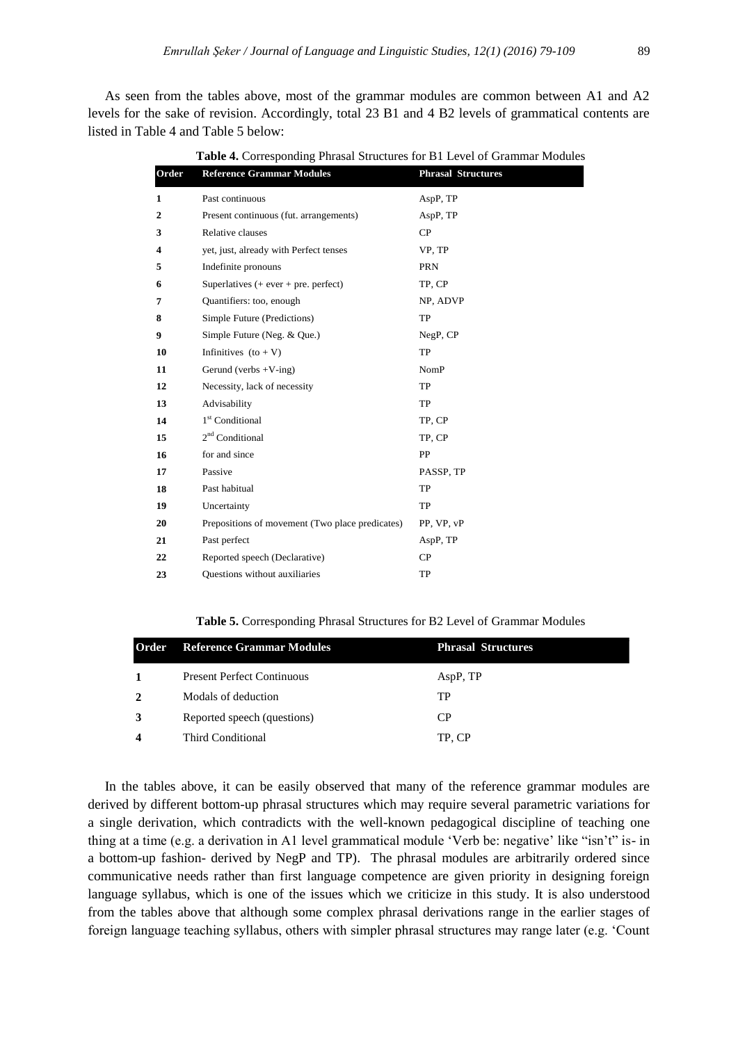As seen from the tables above, most of the grammar modules are common between A1 and A2 levels for the sake of revision. Accordingly, total 23 B1 and 4 B2 levels of grammatical contents are listed in Table 4 and Table 5 below:

| Order          | <b>Reference Grammar Modules</b>                | <b>Phrasal Structures</b> |
|----------------|-------------------------------------------------|---------------------------|
| 1              | Past continuous                                 | AspP, TP                  |
| $\overline{2}$ | Present continuous (fut. arrangements)          | AspP, TP                  |
| 3              | Relative clauses                                | CP                        |
| 4              | yet, just, already with Perfect tenses          | VP, TP                    |
| 5              | Indefinite pronouns                             | <b>PRN</b>                |
| 6              | Superlatives $($ + ever + pre. perfect)         | TP, CP                    |
| 7              | Quantifiers: too, enough                        | NP, ADVP                  |
| 8              | Simple Future (Predictions)                     | TP                        |
| 9              | Simple Future (Neg. & Que.)                     | NegP, CP                  |
| 10             | Infinitives $(to + V)$                          | TP                        |
| 11             | Gerund (verbs $+V$ -ing)                        | <b>NomP</b>               |
| 12             | Necessity, lack of necessity                    | TP                        |
| 13             | Advisability                                    | TP                        |
| 14             | 1 <sup>st</sup> Conditional                     | TP, CP                    |
| 15             | 2 <sup>nd</sup> Conditional                     | TP, CP                    |
| 16             | for and since                                   | PP                        |
| 17             | Passive                                         | PASSP, TP                 |
| 18             | Past habitual                                   | TP                        |
| 19             | Uncertainty                                     | TP                        |
| 20             | Prepositions of movement (Two place predicates) | PP, VP, vP                |
| 21             | Past perfect                                    | AspP, TP                  |
| 22             | Reported speech (Declarative)                   | CP                        |
| 23             | <b>Ouestions without auxiliaries</b>            | TP                        |

**Table 4.** Corresponding Phrasal Structures for B1 Level of Grammar Modules

**Table 5.** Corresponding Phrasal Structures for B2 Level of Grammar Modules

| <b>Reference Grammar Modules</b>  | <b>Phrasal Structures</b> |
|-----------------------------------|---------------------------|
| <b>Present Perfect Continuous</b> | AspP, TP                  |
| Modals of deduction               | TP                        |
| Reported speech (questions)       | C <sub>P</sub>            |
| <b>Third Conditional</b>          | TP, CP                    |
|                                   |                           |

 In the tables above, it can be easily observed that many of the reference grammar modules are derived by different bottom-up phrasal structures which may require several parametric variations for a single derivation, which contradicts with the well-known pedagogical discipline of teaching one thing at a time (e.g. a derivation in A1 level grammatical module "Verb be: negative" like "isn"t" is- in a bottom-up fashion- derived by NegP and TP). The phrasal modules are arbitrarily ordered since communicative needs rather than first language competence are given priority in designing foreign language syllabus, which is one of the issues which we criticize in this study. It is also understood from the tables above that although some complex phrasal derivations range in the earlier stages of foreign language teaching syllabus, others with simpler phrasal structures may range later (e.g. "Count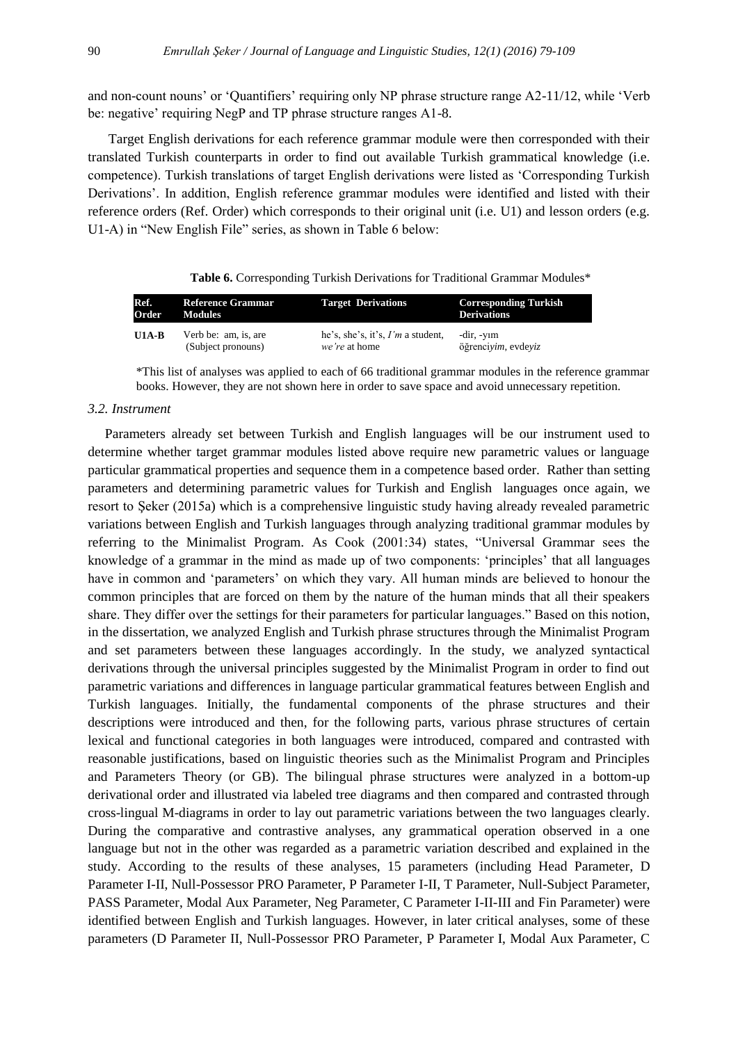and non-count nouns" or "Quantifiers" requiring only NP phrase structure range A2-11/12, while "Verb be: negative' requiring NegP and TP phrase structure ranges A1-8.

 Target English derivations for each reference grammar module were then corresponded with their translated Turkish counterparts in order to find out available Turkish grammatical knowledge (i.e. competence). Turkish translations of target English derivations were listed as "Corresponding Turkish Derivations". In addition, English reference grammar modules were identified and listed with their reference orders (Ref. Order) which corresponds to their original unit (i.e. U1) and lesson orders (e.g. U1-A) in "New English File" series, as shown in Table 6 below:

|  |  | Table 6. Corresponding Turkish Derivations for Traditional Grammar Modules* |
|--|--|-----------------------------------------------------------------------------|
|--|--|-----------------------------------------------------------------------------|

| Ref.    | <b>Reference Grammar</b> | <b>Target Derivations</b>           | <b>Corresponding Turkish</b> |
|---------|--------------------------|-------------------------------------|------------------------------|
| Order   | Modules                  |                                     | <b>Derivations</b>           |
| $U1A-B$ | Verb be: am, is, are     | he's, she's, it's, $I'm$ a student, | -dir, -yim                   |
|         | (Subject pronouns)       | <i>we're</i> at home                | öğrenciyim, evdeyiz          |

\*This list of analyses was applied to each of 66 traditional grammar modules in the reference grammar they have to analyses was applied to each of oo traditional grammar modules in the reference graphical books. However, they are not shown here in order to save space and avoid unnecessary repetition. **U2A** Singular and plural nouns *a* book/*two* book*s kitap*, kitap*lar*, *iki* kitap, *bir* 

# *3.2. Instrument*

Parameters already set between Turkish and English languages will be our instrument used to determine whether target grammar modules listed above require new parametric values or language particular grammatical properties and sequence them in a competence based order. Rather than setting particular parameters and determining parametric values for Turkish and English languages once again, we parameters resort to Şeker (2015a) which is a comprehensive linguistic study having already revealed parametric variations between English and Turkish languages through analyzing traditional grammar modules by referring to the Minimalist Program. As Cook (2001:34) states, "Universal Grammar sees the knowledge of a grammar in the mind as made up of two components: 'principles' that all languages have in common and 'parameters' on which they vary. All human minds are believed to honour the common principles that are forced on them by the nature of the human minds that all their speakers share. They differ over the settings for their parameters for particular languages." Based on this notion, in the dissertation, we analyzed English and Turkish phrase structures through the Minimalist Program and set parameters between these languages accordingly. In the study, we analyzed syntactical derivations through the universal principles suggested by the Minimalist Program in order to find out *y y*<sub>*l*</sub> *little and the same feature perception suggestion by the seminalistic program in series to this one* particular grammatical features between English and *parametric* variations and differences in language par Turkish languages. Initially, the fundamental components of the phrase structures and their descriptions were introduced and then, for the following parts, various phrase structures of certain lexical and functional categories in both languages were introduced, compared and contrasted with reasonable justifications, based on linguistic theories such as the Minimalist Program and Principles and Parameters Theory (or GB). The bilingual phrase structures were analyzed in a bottom-up derivational order and illustrated via labeled tree diagrams and then compared and contrasted through cross-lingual M-diagrams in order to lay out parametric variations between the two languages clearly. During the comparative and contrastive analyses, any grammatical operation observed in a one language but not in the other was regarded as a parametric variation described and explained in the study. According to the results of these analyses, 15 parameters (including Head Parameter, D Parameter I-II, Null-Possessor PRO Parameter, P Parameter I-II, T Parameter, Null-Subject Parameter, PASS Parameter, Modal Aux Parameter, Neg Parameter, C Parameter I-II-III and Fin Parameter) were identified between English and Turkish languages. However, in later critical analyses, some of these parameters (D Parameter II, Null-Possessor PRO Parameter, P Parameter I, Modal Aux Parameter, C alues for **Tu** Murat*'ın* çanta*sı* ngiish ianguag r parameters Sev*miyor*um/Sev*mem*, r iangua I *I* permanent Bunu yap*abilirim*, the phrase su ly to the result He *is going to* come, e analyses, **1** gel*ecek,* rs (inciuaing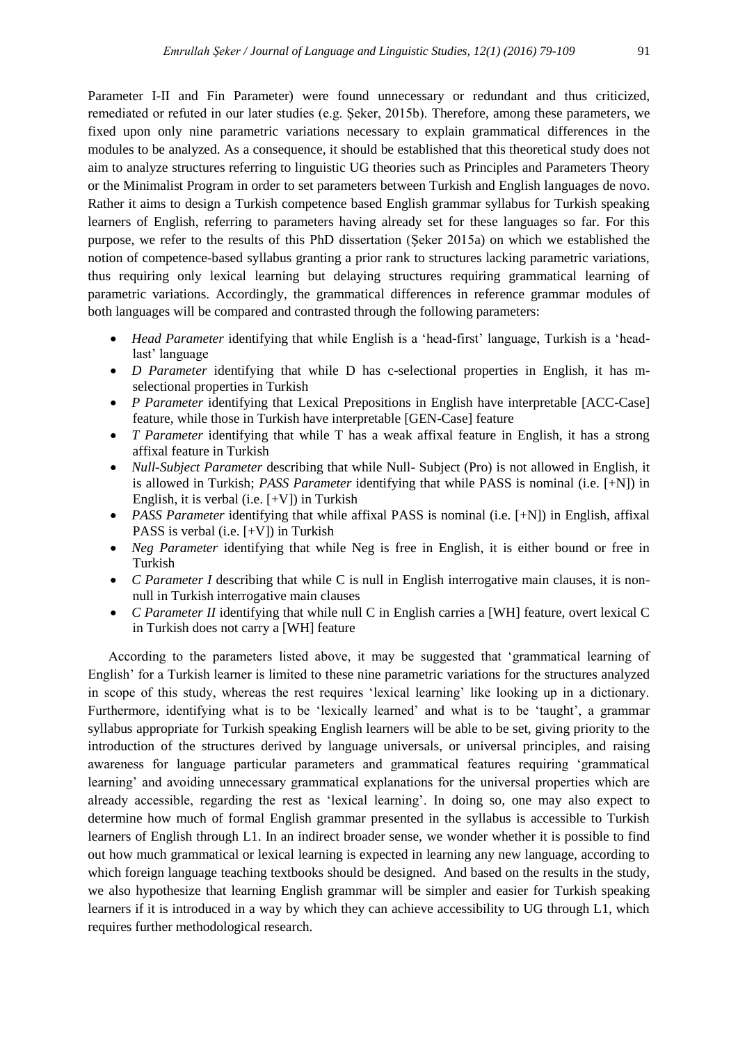Parameter I-II and Fin Parameter) were found unnecessary or redundant and thus criticized, remediated or refuted in our later studies (e.g. Şeker, 2015b). Therefore, among these parameters, we fixed upon only nine parametric variations necessary to explain grammatical differences in the modules to be analyzed. As a consequence, it should be established that this theoretical study does not aim to analyze structures referring to linguistic UG theories such as Principles and Parameters Theory or the Minimalist Program in order to set parameters between Turkish and English languages de novo. Rather it aims to design a Turkish competence based English grammar syllabus for Turkish speaking learners of English, referring to parameters having already set for these languages so far. For this purpose, we refer to the results of this PhD dissertation (Şeker 2015a) on which we established the notion of competence-based syllabus granting a prior rank to structures lacking parametric variations, thus requiring only lexical learning but delaying structures requiring grammatical learning of parametric variations. Accordingly, the grammatical differences in reference grammar modules of both languages will be compared and contrasted through the following parameters:

- *Head Parameter* identifying that while English is a "head-first" language, Turkish is a "headlast' language
- *D Parameter* identifying that while D has c-selectional properties in English, it has mselectional properties in Turkish
- *P Parameter* identifying that Lexical Prepositions in English have interpretable [ACC-Case] feature, while those in Turkish have interpretable [GEN-Case] feature
- *T Parameter* identifying that while T has a weak affixal feature in English, it has a strong affixal feature in Turkish
- *Null-Subject Parameter* describing that while Null- Subject (Pro) is not allowed in English, it is allowed in Turkish; *PASS Parameter* identifying that while PASS is nominal (i.e. [+N]) in English, it is verbal (i.e. [+V]) in Turkish
- *PASS Parameter* identifying that while affixal PASS is nominal (i.e. [+N]) in English, affixal PASS is verbal (i.e. [+V]) in Turkish
- *Neg Parameter* identifying that while Neg is free in English, it is either bound or free in Turkish
- *C Parameter I* describing that while C is null in English interrogative main clauses, it is nonnull in Turkish interrogative main clauses
- *C Parameter II* identifying that while null C in English carries a [WH] feature, overt lexical C in Turkish does not carry a [WH] feature

 According to the parameters listed above, it may be suggested that "grammatical learning of English" for a Turkish learner is limited to these nine parametric variations for the structures analyzed in scope of this study, whereas the rest requires "lexical learning" like looking up in a dictionary. Furthermore, identifying what is to be 'lexically learned' and what is to be 'taught', a grammar syllabus appropriate for Turkish speaking English learners will be able to be set, giving priority to the introduction of the structures derived by language universals, or universal principles, and raising awareness for language particular parameters and grammatical features requiring "grammatical learning" and avoiding unnecessary grammatical explanations for the universal properties which are already accessible, regarding the rest as "lexical learning". In doing so, one may also expect to determine how much of formal English grammar presented in the syllabus is accessible to Turkish learners of English through L1. In an indirect broader sense, we wonder whether it is possible to find out how much grammatical or lexical learning is expected in learning any new language, according to which foreign language teaching textbooks should be designed. And based on the results in the study, we also hypothesize that learning English grammar will be simpler and easier for Turkish speaking learners if it is introduced in a way by which they can achieve accessibility to UG through L1, which requires further methodological research.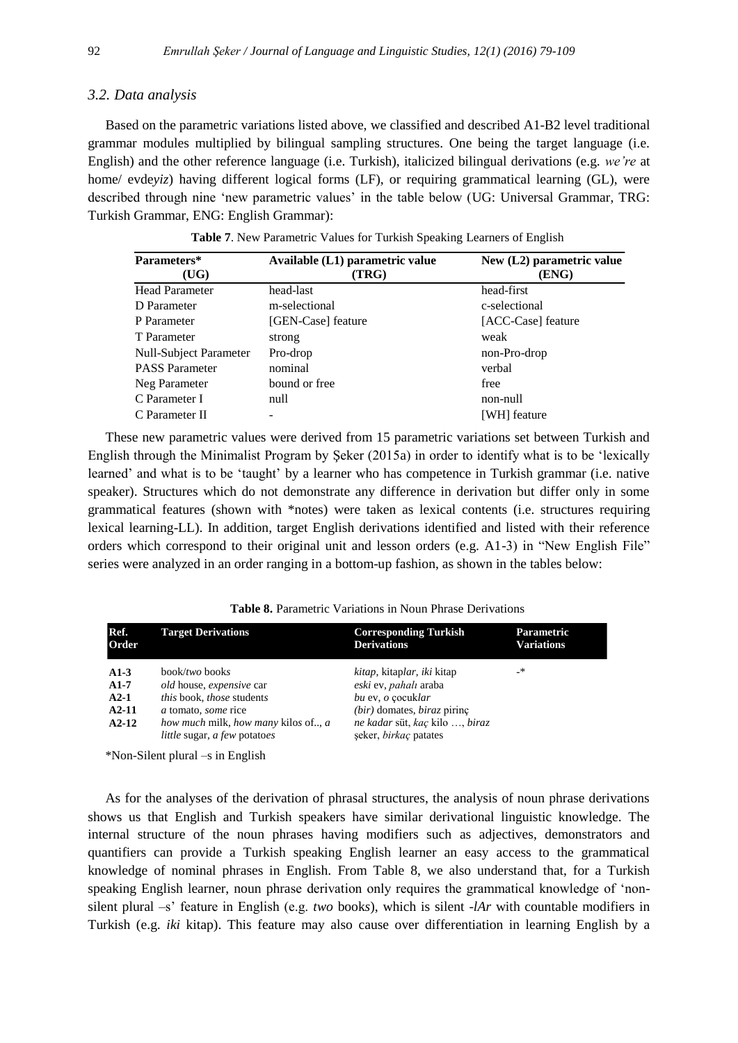### *3.2. Data analysis*

Based on the parametric variations listed above, we classified and described A1-B2 level traditional grammar modules multiplied by bilingual sampling structures. One being the target language (i.e. English) and the other reference language (i.e. Turkish), italicized bilingual derivations (e.g. *we're* at home/ evdeyiz) having different logical forms (LF), or requiring grammatical learning (GL), were described through nine "new parametric values" in the table below (UG: Universal Grammar, TRG: Turkish Grammar, ENG: English Grammar):

**Table 7**. New Parametric Values for Turkish Speaking Learners of English

| Parameters*<br>(UG)    | Available (L1) parametric value<br>(TRG) | New (L2) parametric value<br>(ENG) |
|------------------------|------------------------------------------|------------------------------------|
| <b>Head Parameter</b>  | head-last                                | head-first                         |
| D Parameter            | m-selectional                            | c-selectional                      |
| P Parameter            | [GEN-Case] feature                       | [ACC-Case] feature                 |
| T Parameter            | strong                                   | weak                               |
| Null-Subject Parameter | Pro-drop                                 | non-Pro-drop                       |
| <b>PASS</b> Parameter  | nominal                                  | verbal                             |
| Neg Parameter          | bound or free                            | free                               |
| C Parameter I          | null                                     | non-null                           |
| C Parameter II         |                                          | [WH] feature                       |

These new parametric values were derived from 15 parametric variations set between Turkish and English through the Minimalist Program by Şeker (2015a) in order to identify what is to be "lexically learned' and what is to be 'taught' by a learner who has competence in Turkish grammar (i.e. native C Parameter II - The C Parameter II and the contract of the contract of the contract of the contract of the contract of the contract of the contract of the contract of the contract of the contract of the contract of the co

speaker). Structures which do not demonstrate any difference in derivation but differ only in some grammatical features (shown with \*notes) were taken as lexical contents (i.e. structures requiring lexical learning-LL). In addition, target English derivations identified and listed with their reference orders which correspond to their original unit and lesson orders (e.g. A1-3) in "New English File" series were analyzed in an order ranging in a bottom-up fashion, as shown in the tables below:

| Ref.<br>Order | <b>Target Derivations</b>                                                         | <b>Corresponding Turkish</b><br><b>Derivations</b>             | <b>Parametric</b><br><b>Variations</b> |
|---------------|-----------------------------------------------------------------------------------|----------------------------------------------------------------|----------------------------------------|
| $A1-3$        | book/ <i>two</i> books                                                            | <i>kitap</i> , kitaplar, iki kitap                             | _*                                     |
| $A1-7$        | old house, expensive car                                                          | eski ev, pahalı araba                                          |                                        |
| $A2-1$        | this book, those students                                                         | bu ev, o cocuklar                                              |                                        |
| $A2-11$       | a tomato, some rice                                                               | $(bir)$ domates, <i>biraz</i> pirinç                           |                                        |
| $A2-12$       | how much milk, how many kilos of, a<br><i>little</i> sugar, <i>a few</i> potatoes | ne kadar süt, kaç kilo , biraz<br>seker, <i>birkaç</i> patates |                                        |

**Table 8.** Parametric Variations in Noun Phrase Derivations

\*Non-Silent plural –s in English

As for the analyses of the derivation of phrasal structures, the analysis of noun phrase derivations shows us that English and Turkish speakers have similar derivational linguistic knowledge. The internal structure of the noun phrases having modifiers such as adjectives, demonstrators and quantifiers can provide a Turkish speaking English learner an easy access to the grammatical knowledge of nominal phrases in English. From Table 8, we also understand that, for a Turkish speaking English learner, noun phrase derivation only requires the grammatical knowledge of "nonsilent plural –s" feature in English (e.g. *two* book*s*), which is silent *-lAr* with countable modifiers in Turkish (e.g. *iki* kitap). This feature may also cause over differentiation in learning English by a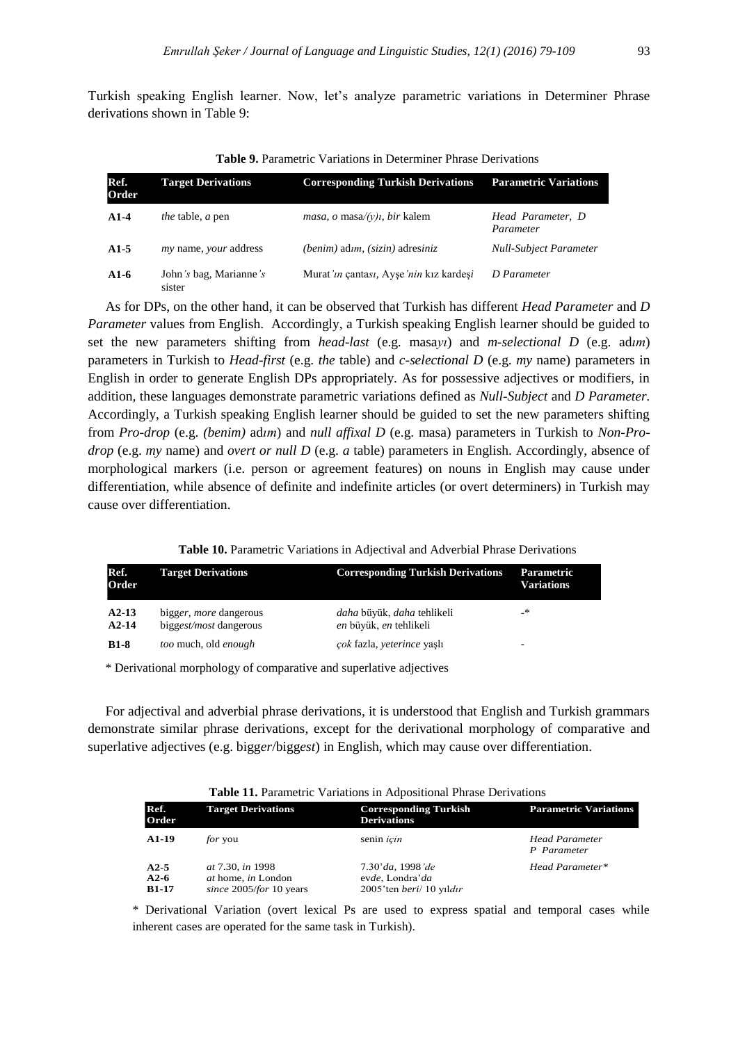Turkish speaking English learner. Now, let"s analyze parametric variations in Determiner Phrase derivations shown in Table 9:

| Ref.<br>Order | <b>Target Derivations</b>           | <b>Corresponding Turkish Derivations</b>               | <b>Parametric Variations</b>   |
|---------------|-------------------------------------|--------------------------------------------------------|--------------------------------|
| $A1-4$        | <i>the</i> table, <i>a</i> pen      | <i>masa, o</i> masa/ $(y)$ <i>i</i> , <i>bir</i> kalem | Head Parameter, D<br>Parameter |
| $A1-5$        | <i>my</i> name, <i>your</i> address | $(benim)$ adım, $(sizin)$ adresiniz                    | <b>Null-Subject Parameter</b>  |
| $A1-6$        | John's bag, Marianne's<br>sister    | Murat'ın çantası, Ayşe'nin kız kardeşi                 | D Parameter                    |

**Table 9.** Parametric Variations in Determiner Phrase Derivations

As for DPs, on the other hand, it can be observed that Turkish has different *Head Parameter* and *D Parameter* values from English. Accordingly, a Turkish speaking English learner should be guided to set the new parameters shifting from *head-last* (e.g. masa*yı*) and *m-selectional D* (e.g. ad*ım*) parameters in Turkish to *Head-first* (e.g. *the* table) and *c-selectional D* (e.g. *my* name) parameters in English in order to generate English DPs appropriately. As for possessive adjectives or modifiers, in addition, these languages demonstrate parametric variations defined as *Null-Subject* and *D Parameter.*  Accordingly, a Turkish speaking English learner should be guided to set the new parameters shifting from *Pro-drop* (e.g. *(benim)* ad*ım*) and *null affixal D* (e.g. masa) parameters in Turkish to *Non-Prodrop* (e.g. *my* name) and *overt or null D* (e.g. *a* table) parameters in English. Accordingly, absence of morphological markers (i.e. person or agreement features) on nouns in English may cause under differentiation, while absence of definite and indefinite articles (or overt determiners) in Turkish may cause over differentiation.

### **Table 10.** Parametric Variations in Adjectival and Adverbial Phrase Derivations

| Ref.<br>Order      | <b>Target Derivations</b>                               | <b>Corresponding Turkish Derivations</b>                           | Parametric<br><b>Variations</b> |
|--------------------|---------------------------------------------------------|--------------------------------------------------------------------|---------------------------------|
| $A2-13$<br>$A2-14$ | bigger, <i>more</i> dangerous<br>biggest/most dangerous | <i>daha</i> büyük, <i>daha</i> tehlikeli<br>en büyük, en tehlikeli | _*                              |
| $B1-8$             | too much, old enough                                    | çok fazla, yeterince yaşlı                                         | -                               |

\* Derivational morphology of comparative and superlative adjectives

For adjectival and adverbial phrase derivations, it is understood that English and Turkish grammars demonstrate similar phrase derivations, except for the derivational morphology of comparative and superlative adjectives (e.g. bigg*er*/bigg*est*) in English, which may cause over differentiation.

|                                  | <b>Table 11.</b> Parametric Variations in Adpositional Phrase Derivations |                                                                 |                                      |
|----------------------------------|---------------------------------------------------------------------------|-----------------------------------------------------------------|--------------------------------------|
| Ref.<br>Order                    | <b>Target Derivations</b>                                                 | <b>Corresponding Turkish</b><br><b>Derivations</b>              | <b>Parametric Variations</b>         |
| $A1-19$                          | <i>for</i> you                                                            | senin icin                                                      | <b>Head Parameter</b><br>P Parameter |
| $A2-5$<br>$A2-6$<br><b>B1-17</b> | at 7.30, in 1998<br>at home, in London<br>since 2005/for 10 years         | 7.30'da, 1998'de<br>evde, Londra'da<br>2005'ten beri/ 10 yıldır | Head Parameter*                      |

\* Derivational Variation (overt lexical Ps are used to express spatial and temporal cases while inherent cases are operated for the same task in Turkish).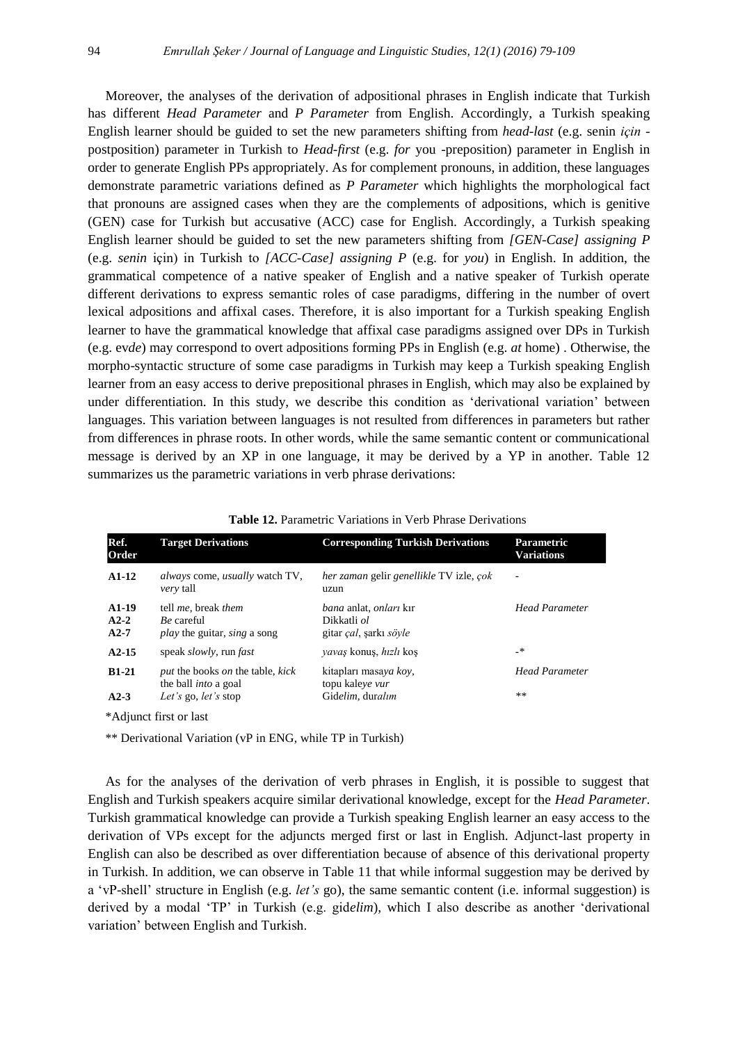Moreover, the analyses of the derivation of adpositional phrases in English indicate that Turkish has different *Head Parameter* and *P Parameter* from English. Accordingly, a Turkish speaking English learner should be guided to set the new parameters shifting from *head-last* (e.g. senin *için*  postposition) parameter in Turkish to *Head-first* (e.g. *for* you -preposition) parameter in English in order to generate English PPs appropriately. As for complement pronouns, in addition, these languages demonstrate parametric variations defined as *P Parameter* which highlights the morphological fact that pronouns are assigned cases when they are the complements of adpositions, which is genitive (GEN) case for Turkish but accusative (ACC) case for English. Accordingly, a Turkish speaking English learner should be guided to set the new parameters shifting from *[GEN-Case] assigning P*  (e.g. *senin* için) in Turkish to *[ACC-Case] assigning P* (e.g. for *you*) in English. In addition, the grammatical competence of a native speaker of English and a native speaker of Turkish operate different derivations to express semantic roles of case paradigms, differing in the number of overt lexical adpositions and affixal cases. Therefore, it is also important for a Turkish speaking English learner to have the grammatical knowledge that affixal case paradigms assigned over DPs in Turkish (e.g. ev*de*) may correspond to overt adpositions forming PPs in English (e.g. *at* home) . Otherwise, the morpho-syntactic structure of some case paradigms in Turkish may keep a Turkish speaking English learner from an easy access to derive prepositional phrases in English, which may also be explained by under differentiation. In this study, we describe this condition as "derivational variation" between languages. This variation between languages is not resulted from differences in parameters but rather from differences in phrase roots. In other words, while the same semantic content or communicational message is derived by an XP in one language, it may be derived by a YP in another. Table 12 summarizes us the parametric variations in verb phrase derivations:

| Ref.<br>Order               | <b>Target Derivations</b>                                                                      | <b>Corresponding Turkish Derivations</b>                                                     | <b>Parametric</b><br><b>Variations</b> |
|-----------------------------|------------------------------------------------------------------------------------------------|----------------------------------------------------------------------------------------------|----------------------------------------|
| $A1-12$                     | <i>always</i> come, <i>usually</i> watch TV,<br><i>very</i> tall                               | her zaman gelir genellikle TV izle, çok<br>uzun                                              | ÷                                      |
| $A1-19$<br>$A2-2$<br>$A2-7$ | tell <i>me</i> , break <i>them</i><br>Be careful<br><i>play</i> the guitar, <i>sing</i> a song | <i>bana</i> anlat, <i>onlari</i> kir<br>Dikkatli ol<br>gitar <i>çal</i> , şarkı <i>söyle</i> | <b>Head Parameter</b>                  |
| $A2-15$                     | speak <i>slowly</i> , run <i>fast</i>                                                          | <i>yavaş</i> konuş, <i>hızlı</i> koş                                                         | $\cdot$                                |
| $B1-21$                     | put the books on the table, kick<br>the ball <i>into</i> a goal                                | kitapları masaya koy,<br>topu kaleye vur                                                     | <b>Head Parameter</b>                  |
| $A2-3$                      | Let's go, let's stop                                                                           | Gidelim, duralım                                                                             | **                                     |
|                             | *Adjunct first or last                                                                         |                                                                                              |                                        |

**Table 12.** Parametric Variations in Verb Phrase Derivations

\*\* Derivational Variation (vP in ENG, while TP in Turkish)

As for the analyses of the derivation of verb phrases in English, it is possible to suggest that English and Turkish speakers acquire similar derivational knowledge, except for the *Head Parameter*. Turkish grammatical knowledge can provide a Turkish speaking English learner an easy access to the derivation of VPs except for the adjuncts merged first or last in English. Adjunct-last property in English can also be described as over differentiation because of absence of this derivational property in Turkish. In addition, we can observe in Table 11 that while informal suggestion may be derived by a "vP-shell" structure in English (e.g. *let's* go), the same semantic content (i.e. informal suggestion) is derived by a modal "TP" in Turkish (e.g. gid*elim*), which I also describe as another "derivational variation" between English and Turkish.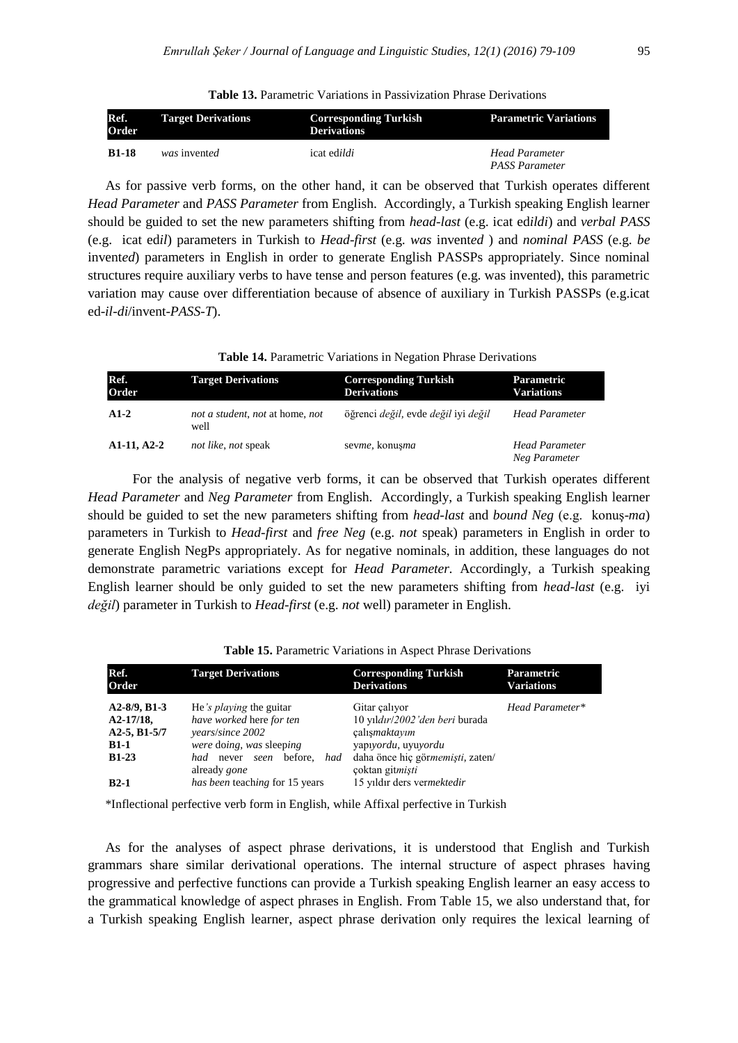**Table 13.** Parametric Variations in Passivization Phrase Derivations

| Ref.<br>Order | <b>Target Derivations</b> | <b>Corresponding Turkish</b><br><b>Derivations</b> | <b>Parametric Variations</b>            |
|---------------|---------------------------|----------------------------------------------------|-----------------------------------------|
| <b>B1-18</b>  | was invented              | icat ed <i>ildi</i>                                | <b>Head Parameter</b><br>PASS Parameter |

As for passive verb forms, on the other hand, it can be observed that Turkish operates different *Head Parameter* and *PASS Parameter* from English. Accordingly, a Turkish speaking English learner should be guided to set the new parameters shifting from *head-last* (e.g. icat ed*ildi*) and *verbal PASS*  (e.g. icat ed*il*) parameters in Turkish to *Head-first* (e.g. *was* invent*ed* ) and *nominal PASS* (e.g. *be*  invent*ed*) parameters in English in order to generate English PASSPs appropriately. Since nominal structures require auxiliary verbs to have tense and person features (e.g. was invented), this parametric variation may cause over differentiation because of absence of auxiliary in Turkish PASSPs (e.g.icat ed-*il-di*/invent-*PASS-T*).

| Ref.<br>Order | <b>Target Derivations</b>               | <b>Corresponding Turkish</b><br><b>Derivations</b>        | Parametric<br><b>Variations</b> |
|---------------|-----------------------------------------|-----------------------------------------------------------|---------------------------------|
| $A1-2$        | not a student, not at home, not<br>well | öğrenci <i>değil</i> , evde <i>değil</i> iyi <i>değil</i> | <b>Head Parameter</b>           |
| A1-11, A2-2   | not like, not speak                     | sevme, konusma                                            | Head Parameter<br>Neg Parameter |

For the analysis of negative verb forms, it can be observed that Turkish operates different *Head Parameter* and *Neg Parameter* from English. Accordingly, a Turkish speaking English learner should be guided to set the new parameters shifting from *head-last* and *bound Neg* (e.g. konuş-*ma*) parameters in Turkish to *Head-first* and *free Neg* (e.g. *not* speak) parameters in English in order to generate English NegPs appropriately. As for negative nominals, in addition, these languages do not demonstrate parametric variations except for *Head Parameter.* Accordingly, a Turkish speaking English learner should be only guided to set the new parameters shifting from *head-last* (e.g. iyi *değil*) parameter in Turkish to *Head-first* (e.g. *not* well) parameter in English.

| Ref.<br>Order                                                                            | <b>Target Derivations</b>                                                                                                                                             | <b>Corresponding Turkish</b><br><b>Derivations</b>                                                                                             | <b>Parametric</b><br><b>Variations</b> |
|------------------------------------------------------------------------------------------|-----------------------------------------------------------------------------------------------------------------------------------------------------------------------|------------------------------------------------------------------------------------------------------------------------------------------------|----------------------------------------|
| $A2-8/9$ , B <sub>1</sub> -3<br>$A2-17/18$ ,<br>$A2-5, B1-5/7$<br>$B1-1$<br><b>B1-23</b> | He's <i>playing</i> the guitar<br>have worked here for ten<br>years/since 2002<br>were doing, was sleeping<br>before.<br>had<br>had never seen<br>already <i>gone</i> | Gitar calivor<br>10 yıldır/2002'den beri burada<br>calismaktayım<br>yapıyordu, uyuyordu<br>daha önce hiç görmemişti, zaten/<br>çoktan gitmişti | Head Parameter*                        |
| $B2-1$                                                                                   | has been teaching for 15 years                                                                                                                                        | 15 yıldır ders vermektedir                                                                                                                     |                                        |

**Table 15.** Parametric Variations in Aspect Phrase Derivations

\*Inflectional perfective verb form in English, while Affixal perfective in Turkish

As for the analyses of aspect phrase derivations, it is understood that English and Turkish grammars share similar derivational operations. The internal structure of aspect phrases having progressive and perfective functions can provide a Turkish speaking English learner an easy access to the grammatical knowledge of aspect phrases in English. From Table 15, we also understand that, for a Turkish speaking English learner, aspect phrase derivation only requires the lexical learning of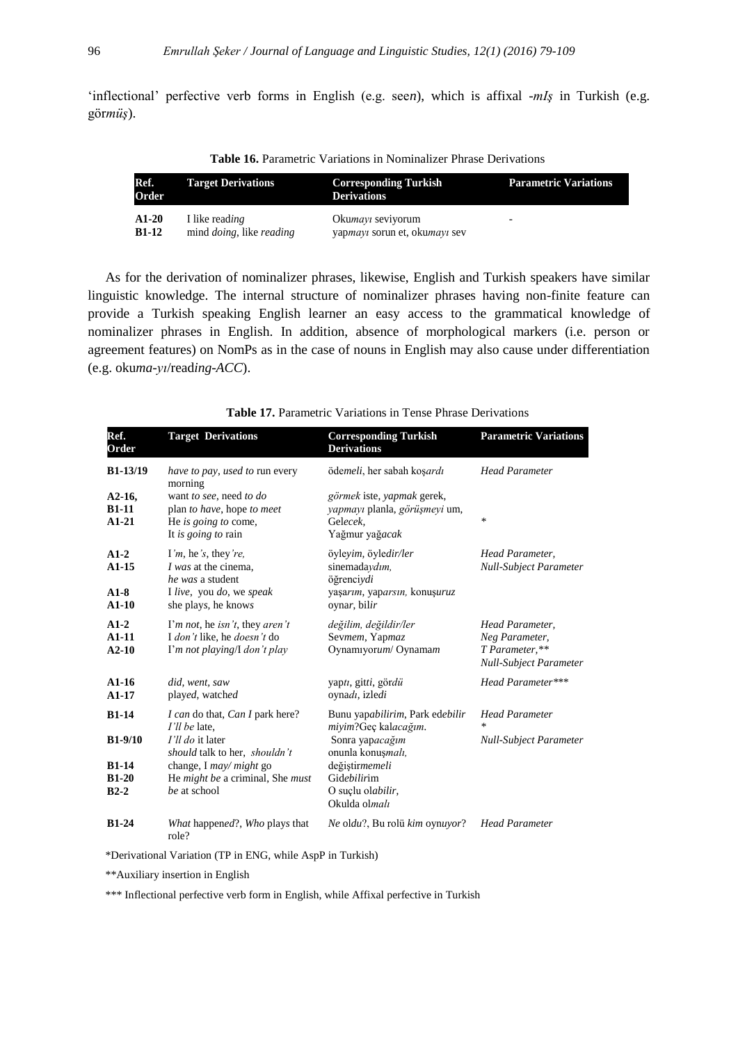'inflectional' perfective verb forms in English (e.g. seen), which is affixal *-mIş* in Turkish (e.g. gör*müş*).

**Table 16.** Parametric Variations in Nominalizer Phrase Derivations

| Ref.<br>Order | <b>Target Derivations</b>               | <b>Corresponding Turkish</b><br><b>Derivations</b> | <b>Parametric Variations</b> |
|---------------|-----------------------------------------|----------------------------------------------------|------------------------------|
| $A1-20$       | I like reading                          | Okumayı seviyorum                                  | -                            |
| $B1-12$       | mind <i>doing</i> , like <i>reading</i> | yapmayı sorun et, okumayı sev                      |                              |

As for the derivation of nominalizer phrases, likewise, English and Turkish speakers have similar linguistic knowledge. The internal structure of nominalizer phrases having non-finite feature can provide a Turkish speaking English learner an easy access to the grammatical knowledge of nominalizer phrases in English. In addition, absence of morphological markers (i.e. person or agreement features) on NomPs as in the case of nouns in English may also cause under differentiation (e.g. oku*ma-yı*/read*ing*-*ACC*).

| Ref.<br><b>Order</b>                                 | <b>Target Derivations</b>                                                                                                                                                            | <b>Corresponding Turkish</b><br><b>Derivations</b>                                                                                                                     | <b>Parametric Variations</b>                                                         |
|------------------------------------------------------|--------------------------------------------------------------------------------------------------------------------------------------------------------------------------------------|------------------------------------------------------------------------------------------------------------------------------------------------------------------------|--------------------------------------------------------------------------------------|
| B1-13/19                                             | have to pay, used to run every<br>morning                                                                                                                                            | ödemeli, her sabah koşardı                                                                                                                                             | <b>Head Parameter</b>                                                                |
| $A2-16,$<br>$B1-11$<br>$A1-21$                       | want to see, need to do<br>plan to have, hope to meet<br>He is going to come,<br>It is going to rain                                                                                 | görmek iste, yapmak gerek,<br>yapmayı planla, görüşmeyi um,<br>Gelecek.<br>Yağmur yağacak                                                                              | *                                                                                    |
| $A1-2$<br>$A1-15$<br>$A1-8$<br>$A1-10$               | I'm, he's, they're,<br><i>I was</i> at the cinema,<br>he was a student<br>I live, you do, we speak<br>she plays, he knows                                                            | öyleyim, öyledir/ler<br>sinemadaydım,<br>öğrenciydi<br>yaşarım, yaparsın, konuşuruz<br>oynar, bilir                                                                    | Head Parameter,<br><b>Null-Subject Parameter</b>                                     |
| $A1-2$<br>$A1-11$<br>$A2-10$                         | I'm not, he isn't, they aren't<br>I don't like, he doesn't do<br>I'm not playing/I don't play                                                                                        | değilim, değildir/ler<br>Sevmem, Yapmaz<br>Oynamıyorum/ Oynamam                                                                                                        | Head Parameter,<br>Neg Parameter,<br>T Parameter,**<br><b>Null-Subject Parameter</b> |
| $A1-16$<br>$A1-17$                                   | did, went, saw<br>played, watched                                                                                                                                                    | yaptı, gitti, gördü<br>oynadı, izledi                                                                                                                                  | Head Parameter***                                                                    |
| $B1-14$<br>$B1-9/10$<br>$B1-14$<br>$B1-20$<br>$B2-2$ | I can do that, Can I park here?<br>I'll be late.<br>I'll do it later<br>should talk to her, shouldn't<br>change, I may/ might go<br>He might be a criminal, She must<br>be at school | Bunu yapabilirim, Park edebilir<br>miyim?Geç kalacağım.<br>Sonra yapacağım<br>onunla konuşmalı,<br>değiştirmemeli<br>Gidebilirim<br>O suçlu olabilir,<br>Okulda olmalı | <b>Head Parameter</b><br>$\ast$<br><b>Null-Subject Parameter</b>                     |
| $B1-24$                                              | What happened?, Who plays that<br>role?                                                                                                                                              | Ne oldu?, Bu rolü kim oynuyor?                                                                                                                                         | <b>Head Parameter</b>                                                                |

**Table 17.** Parametric Variations in Tense Phrase Derivations

\*Derivational Variation (TP in ENG, while AspP in Turkish)

\*\*Auxiliary insertion in English

\*\*\* Inflectional perfective verb form in English, while Affixal perfective in Turkish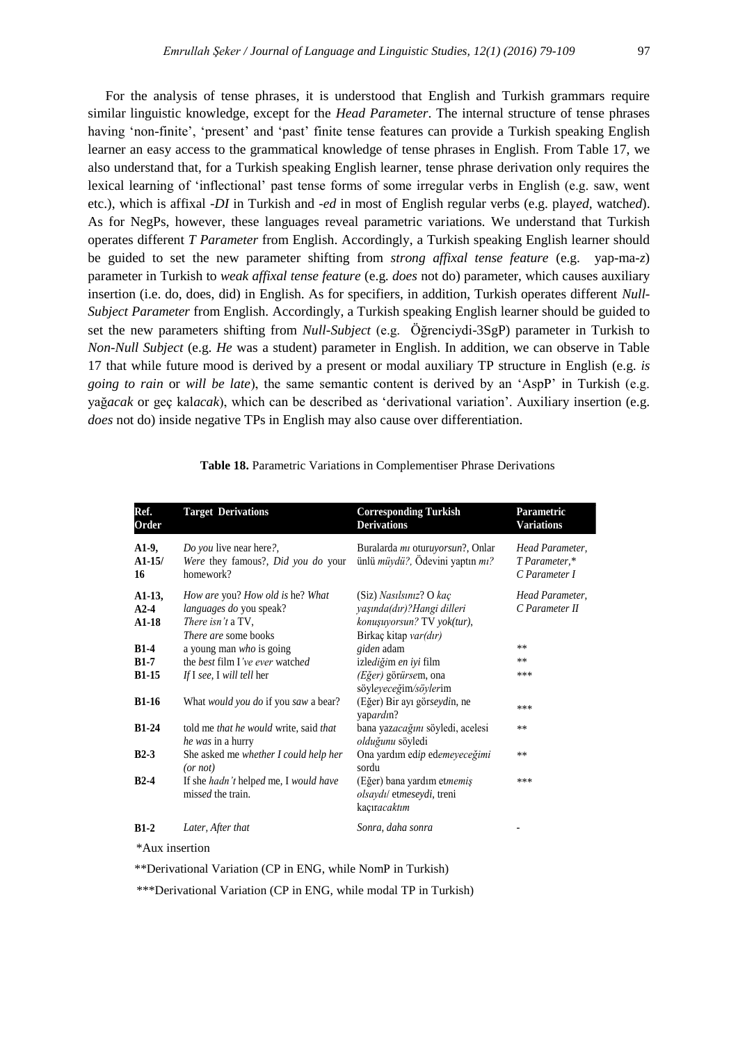For the analysis of tense phrases, it is understood that English and Turkish grammars require similar linguistic knowledge, except for the *Head Parameter*. The internal structure of tense phrases having 'non-finite', 'present' and 'past' finite tense features can provide a Turkish speaking English learner an easy access to the grammatical knowledge of tense phrases in English. From Table 17, we also understand that, for a Turkish speaking English learner, tense phrase derivation only requires the lexical learning of "inflectional" past tense forms of some irregular verbs in English (e.g. saw, went etc.), which is affixal *-DI* in Turkish and *-ed* in most of English regular verbs (e.g. play*ed,* watch*ed*). As for NegPs, however, these languages reveal parametric variations*.* We understand that Turkish operates different *T Parameter* from English. Accordingly, a Turkish speaking English learner should be guided to set the new parameter shifting from *strong affixal tense feature* (e.g. yap-ma*-z*) parameter in Turkish to *weak affixal tense feature* (e.g. *does* not do) parameter, which causes auxiliary insertion (i.e. do, does, did) in English. As for specifiers, in addition, Turkish operates different *Null-Subject Parameter* from English. Accordingly, a Turkish speaking English learner should be guided to set the new parameters shifting from *Null-Subject* (e.g. Öğrenciydi-3SgP) parameter in Turkish to *Non-Null Subject* (e.g. *He* was a student) parameter in English. In addition, we can observe in Table 17 that while future mood is derived by a present or modal auxiliary TP structure in English (e.g. *is going to rain* or *will be late*), the same semantic content is derived by an "AspP" in Turkish (e.g. yağ*acak* or geç kal*acak*), which can be described as "derivational variation". Auxiliary insertion (e.g. *does* not do) inside negative TPs in English may also cause over differentiation.

| Ref.<br>Order                  | <b>Target Derivations</b>                                                                                              | <b>Corresponding Turkish</b><br><b>Derivations</b>                                                             | Parametric<br><b>Variations</b>                   |
|--------------------------------|------------------------------------------------------------------------------------------------------------------------|----------------------------------------------------------------------------------------------------------------|---------------------------------------------------|
| $A1-9$<br>$A1-15/$<br>16       | Do you live near here?,<br>Were they famous?, Did you do your<br>homework?                                             | Buralarda <i>mi</i> oturuyorsun?, Onlar<br>ünlü müydü?, Ödevini yaptın mı?                                     | Head Parameter,<br>T Parameter,*<br>C Parameter I |
| $A1-13$ ,<br>$A2-4$<br>$A1-18$ | How are you? How old is he? What<br>languages do you speak?<br><i>There isn't</i> a TV,<br><i>There are</i> some books | $(Siz)$ Nasilsiniz? O kaç<br>yaşında(dır)?Hangi dilleri<br>konuşuyorsun? TV yok(tur),<br>Birkaç kitap var(dır) | Head Parameter,<br>C Parameter II                 |
| $B1-4$                         | a young man who is going                                                                                               | giden adam                                                                                                     | **                                                |
| $B1-7$                         | the best film I've ever watched                                                                                        | izlediğim en iyi film                                                                                          | **                                                |
| $B1-15$                        | If I see, I will tell her                                                                                              | (Eğer) görürsem, ona<br>söyleyeceğim/söylerim                                                                  | ***                                               |
| $B1-16$                        | What would you do if you saw a bear?                                                                                   | (Eğer) Bir ayı görseydin, ne<br>yapardın?                                                                      | ***                                               |
| $B1-24$                        | told me that he would write, said that<br>he was in a hurry                                                            | bana yazacağını söyledi, acelesi<br>olduğunu söyledi                                                           | **                                                |
| $B2-3$                         | She asked me whether I could help her<br>(or not)                                                                      | Ona yardım edip edemeyeceğimi<br>sordu                                                                         | $***$                                             |
| $B2-4$                         | If she hadn't helped me, I would have<br>missed the train.                                                             | (Eğer) bana yardım etmemiş<br>olsaydı/ etmeseydi, treni<br>kaçıracaktım                                        | ***                                               |
| $B1-2$                         | Later, After that                                                                                                      | Sonra, daha sonra                                                                                              |                                                   |
| *Aux insertion                 |                                                                                                                        |                                                                                                                |                                                   |

**Table 18.** Parametric Variations in Complementiser Phrase Derivations

\*\*Derivational Variation (CP in ENG, while NomP in Turkish)

\*\*\*Derivational Variation (CP in ENG, while modal TP in Turkish)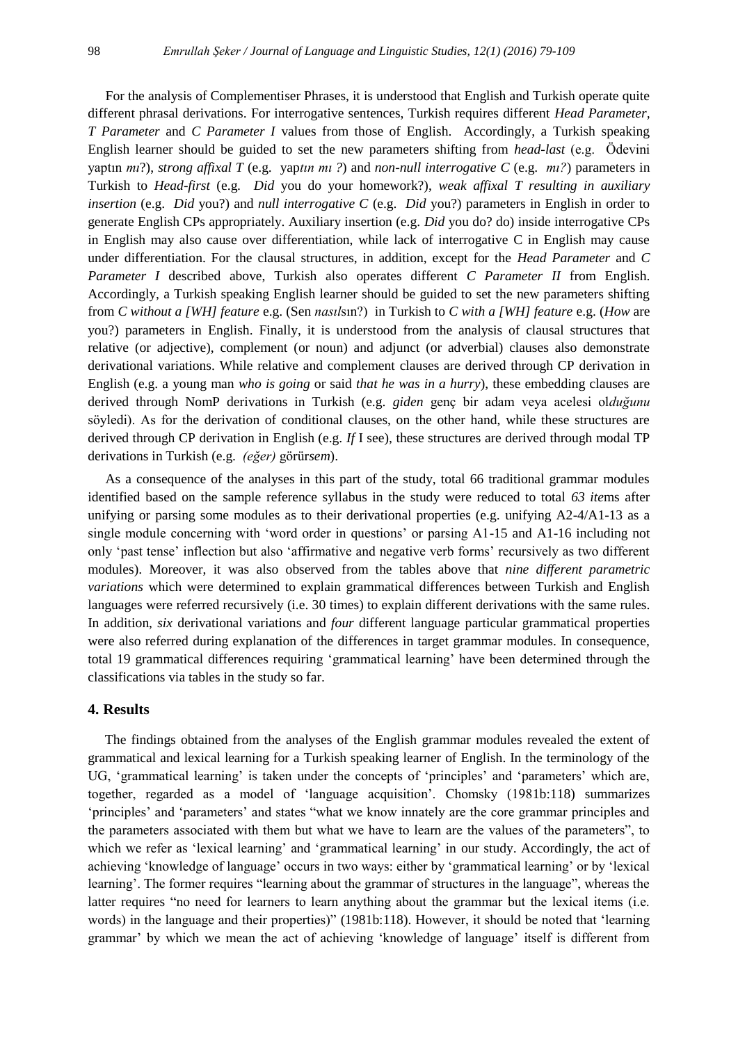For the analysis of Complementiser Phrases, it is understood that English and Turkish operate quite different phrasal derivations. For interrogative sentences, Turkish requires different *Head Parameter, T Parameter* and *C Parameter I* values from those of English. Accordingly, a Turkish speaking English learner should be guided to set the new parameters shifting from *head-last* (e.g. Ödevini yaptın *mı*?), *strong affixal T* (e.g. yap*tın mı ?*) and *non-null interrogative C* (e.g. *mı?*) parameters in Turkish to *Head-first* (e.g. *Did* you do your homework?), *weak affixal T resulting in auxiliary insertion* (e.g. *Did* you?) and *null interrogative C* (e.g. *Did* you?) parameters in English in order to generate English CPs appropriately. Auxiliary insertion (e.g. *Did* you do? do) inside interrogative CPs in English may also cause over differentiation, while lack of interrogative C in English may cause under differentiation. For the clausal structures, in addition, except for the *Head Parameter* and *C Parameter I* described above, Turkish also operates different *C Parameter II* from English. Accordingly, a Turkish speaking English learner should be guided to set the new parameters shifting from *C without a [WH] feature* e.g. (Sen *nasıl*sın?) in Turkish to *C with a [WH] feature* e.g. (*How* are you?) parameters in English. Finally, it is understood from the analysis of clausal structures that relative (or adjective), complement (or noun) and adjunct (or adverbial) clauses also demonstrate derivational variations. While relative and complement clauses are derived through CP derivation in English (e.g. a young man *who is going* or said *that he was in a hurry*), these embedding clauses are derived through NomP derivations in Turkish (e.g. *giden* genç bir adam veya acelesi ol*duğunu* söyledi). As for the derivation of conditional clauses, on the other hand, while these structures are derived through CP derivation in English (e.g. *If* I see), these structures are derived through modal TP derivations in Turkish (e.g. *(eğer)* görür*sem*).

As a consequence of the analyses in this part of the study, total 66 traditional grammar modules identified based on the sample reference syllabus in the study were reduced to total *63 ite*ms after unifying or parsing some modules as to their derivational properties (e.g. unifying A2-4/A1-13 as a single module concerning with "word order in questions" or parsing A1-15 and A1-16 including not only "past tense" inflection but also "affirmative and negative verb forms" recursively as two different modules). Moreover, it was also observed from the tables above that *nine different parametric variations* which were determined to explain grammatical differences between Turkish and English languages were referred recursively (i.e. 30 times) to explain different derivations with the same rules. In addition, *six* derivational variations and *four* different language particular grammatical properties were also referred during explanation of the differences in target grammar modules. In consequence, total 19 grammatical differences requiring "grammatical learning" have been determined through the classifications via tables in the study so far.

### **4. Results**

 The findings obtained from the analyses of the English grammar modules revealed the extent of grammatical and lexical learning for a Turkish speaking learner of English. In the terminology of the UG, "grammatical learning" is taken under the concepts of "principles" and "parameters" which are, together, regarded as a model of "language acquisition". Chomsky (1981b:118) summarizes 'principles' and 'parameters' and states "what we know innately are the core grammar principles and the parameters associated with them but what we have to learn are the values of the parameters", to which we refer as 'lexical learning' and 'grammatical learning' in our study. Accordingly, the act of achieving "knowledge of language" occurs in two ways: either by "grammatical learning" or by "lexical learning". The former requires "learning about the grammar of structures in the language", whereas the latter requires "no need for learners to learn anything about the grammar but the lexical items (i.e. words) in the language and their properties)" (1981b:118). However, it should be noted that "learning grammar" by which we mean the act of achieving "knowledge of language" itself is different from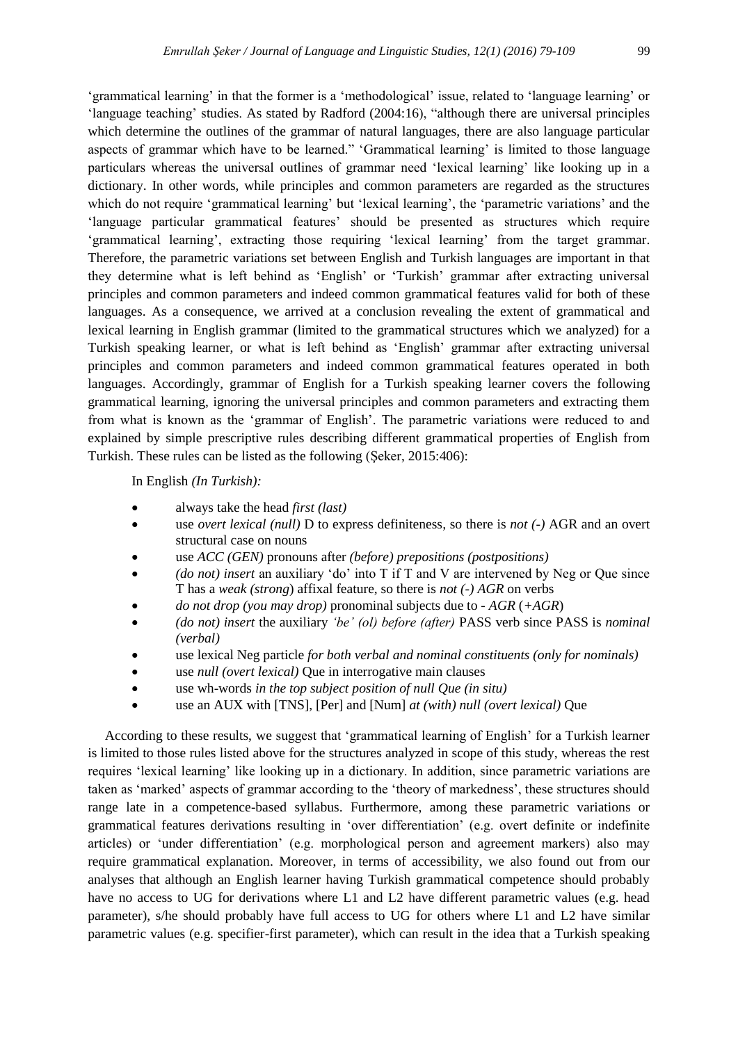"grammatical learning" in that the former is a "methodological" issue, related to "language learning" or "language teaching" studies. As stated by Radford (2004:16), "although there are universal principles which determine the outlines of the grammar of natural languages, there are also language particular aspects of grammar which have to be learned." "Grammatical learning" is limited to those language particulars whereas the universal outlines of grammar need "lexical learning" like looking up in a dictionary. In other words, while principles and common parameters are regarded as the structures which do not require 'grammatical learning' but 'lexical learning', the 'parametric variations' and the 'language particular grammatical features' should be presented as structures which require "grammatical learning", extracting those requiring "lexical learning" from the target grammar. Therefore, the parametric variations set between English and Turkish languages are important in that they determine what is left behind as "English" or "Turkish" grammar after extracting universal principles and common parameters and indeed common grammatical features valid for both of these languages. As a consequence, we arrived at a conclusion revealing the extent of grammatical and lexical learning in English grammar (limited to the grammatical structures which we analyzed) for a Turkish speaking learner, or what is left behind as "English" grammar after extracting universal principles and common parameters and indeed common grammatical features operated in both languages. Accordingly, grammar of English for a Turkish speaking learner covers the following grammatical learning, ignoring the universal principles and common parameters and extracting them from what is known as the "grammar of English". The parametric variations were reduced to and explained by simple prescriptive rules describing different grammatical properties of English from Turkish. These rules can be listed as the following (Şeker, 2015:406):

In English *(In Turkish):*

- always take the head *first (last)*
- use *overt lexical (null)* D to express definiteness*,* so there is *not (-)* AGR and an overt structural case on nouns
- use *ACC (GEN)* pronouns after *(before) prepositions (postpositions)*
- *(do not) insert* an auxiliary "do" into T if T and V are intervened by Neg or Que since T has a *weak (strong*) affixal feature, so there is *not (-) AGR* on verbs
- *do not drop (you may drop)* pronominal subjects due to *- AGR* (*+AGR*)
- *(do not) insert* the auxiliary *'be' (ol) before (after)* PASS verb since PASS is *nominal (verbal)*
- use lexical Neg particle *for both verbal and nominal constituents (only for nominals)*
- use *null (overt lexical)* Que in interrogative main clauses
- use wh-words *in the top subject position of null Que (in situ)*
- use an AUX with [TNS], [Per] and [Num] *at (with) null (overt lexical)* Que

 According to these results, we suggest that "grammatical learning of English" for a Turkish learner is limited to those rules listed above for the structures analyzed in scope of this study, whereas the rest requires "lexical learning" like looking up in a dictionary. In addition, since parametric variations are taken as "marked" aspects of grammar according to the "theory of markedness", these structures should range late in a competence-based syllabus. Furthermore, among these parametric variations or grammatical features derivations resulting in "over differentiation" (e.g. overt definite or indefinite articles) or "under differentiation" (e.g. morphological person and agreement markers) also may require grammatical explanation. Moreover, in terms of accessibility, we also found out from our analyses that although an English learner having Turkish grammatical competence should probably have no access to UG for derivations where L1 and L2 have different parametric values (e.g. head parameter), s/he should probably have full access to UG for others where L1 and L2 have similar parametric values (e.g. specifier-first parameter), which can result in the idea that a Turkish speaking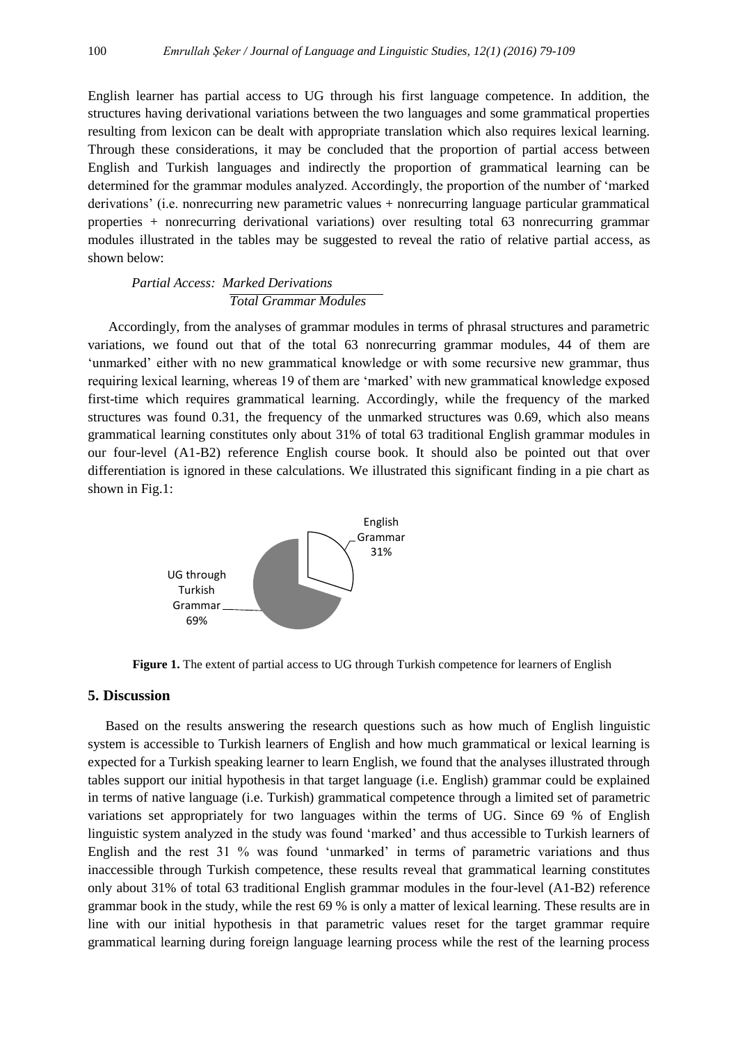English learner has partial access to UG through his first language competence. In addition, the structures having derivational variations between the two languages and some grammatical properties resulting from lexicon can be dealt with appropriate translation which also requires lexical learning. Through these considerations, it may be concluded that the proportion of partial access between English and Turkish languages and indirectly the proportion of grammatical learning can be determined for the grammar modules analyzed. Accordingly, the proportion of the number of "marked derivations" (i.e. nonrecurring new parametric values + nonrecurring language particular grammatical properties + nonrecurring derivational variations) over resulting total 63 nonrecurring grammar modules illustrated in the tables may be suggested to reveal the ratio of relative partial access, as shown below:

# *Partial Access: Marked Derivations Total Grammar Modules*

 Accordingly, from the analyses of grammar modules in terms of phrasal structures and parametric variations, we found out that of the total 63 nonrecurring grammar modules, 44 of them are 'unmarked' either with no new grammatical knowledge or with some recursive new grammar, thus requiring lexical learning, whereas 19 of them are "marked" with new grammatical knowledge exposed first-time which requires grammatical learning. Accordingly, while the frequency of the marked structures was found 0.31, the frequency of the unmarked structures was 0.69, which also means grammatical learning constitutes only about 31% of total 63 traditional English grammar modules in our four-level (A1-B2) reference English course book. It should also be pointed out that over differentiation is ignored in these calculations. We illustrated this significant finding in a pie chart as shown in Fig.1:



**Figure 1.** The extent of partial access to UG through Turkish competence for learners of English

# **5. Discussion**

Based on the results answering the research questions such as how much of English linguistic system is accessible to Turkish learners of English and how much grammatical or lexical learning is expected for a Turkish speaking learner to learn English, we found that the analyses illustrated through tables support our initial hypothesis in that target language (i.e. English) grammar could be explained in terms of native language (i.e. Turkish) grammatical competence through a limited set of parametric variations set appropriately for two languages within the terms of UG. Since 69 % of English linguistic system analyzed in the study was found "marked" and thus accessible to Turkish learners of English and the rest 31 % was found "unmarked" in terms of parametric variations and thus inaccessible through Turkish competence, these results reveal that grammatical learning constitutes only about 31% of total 63 traditional English grammar modules in the four-level (A1-B2) reference grammar book in the study, while the rest 69 % is only a matter of lexical learning. These results are in line with our initial hypothesis in that parametric values reset for the target grammar require grammatical learning during foreign language learning process while the rest of the learning process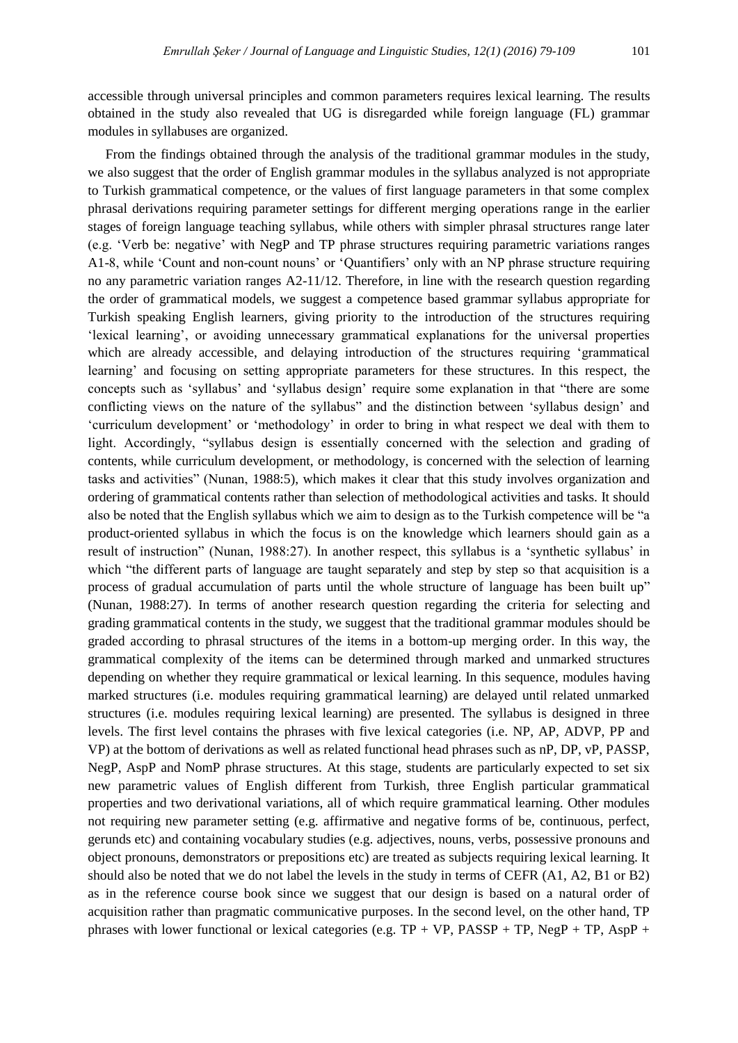accessible through universal principles and common parameters requires lexical learning. The results obtained in the study also revealed that UG is disregarded while foreign language (FL) grammar modules in syllabuses are organized.

From the findings obtained through the analysis of the traditional grammar modules in the study, we also suggest that the order of English grammar modules in the syllabus analyzed is not appropriate to Turkish grammatical competence, or the values of first language parameters in that some complex phrasal derivations requiring parameter settings for different merging operations range in the earlier stages of foreign language teaching syllabus, while others with simpler phrasal structures range later (e.g. "Verb be: negative" with NegP and TP phrase structures requiring parametric variations ranges A1-8, while "Count and non-count nouns" or "Quantifiers" only with an NP phrase structure requiring no any parametric variation ranges A2-11/12. Therefore, in line with the research question regarding the order of grammatical models, we suggest a competence based grammar syllabus appropriate for Turkish speaking English learners, giving priority to the introduction of the structures requiring "lexical learning", or avoiding unnecessary grammatical explanations for the universal properties which are already accessible, and delaying introduction of the structures requiring 'grammatical learning' and focusing on setting appropriate parameters for these structures. In this respect, the concepts such as "syllabus" and "syllabus design" require some explanation in that "there are some conflicting views on the nature of the syllabus" and the distinction between "syllabus design" and "curriculum development" or "methodology" in order to bring in what respect we deal with them to light. Accordingly, "syllabus design is essentially concerned with the selection and grading of contents, while curriculum development, or methodology, is concerned with the selection of learning tasks and activities" (Nunan, 1988:5), which makes it clear that this study involves organization and ordering of grammatical contents rather than selection of methodological activities and tasks. It should also be noted that the English syllabus which we aim to design as to the Turkish competence will be "a product-oriented syllabus in which the focus is on the knowledge which learners should gain as a result of instruction" (Nunan, 1988:27). In another respect, this syllabus is a "synthetic syllabus" in which "the different parts of language are taught separately and step by step so that acquisition is a process of gradual accumulation of parts until the whole structure of language has been built up" (Nunan, 1988:27). In terms of another research question regarding the criteria for selecting and grading grammatical contents in the study, we suggest that the traditional grammar modules should be graded according to phrasal structures of the items in a bottom-up merging order. In this way, the grammatical complexity of the items can be determined through marked and unmarked structures depending on whether they require grammatical or lexical learning. In this sequence, modules having marked structures (i.e. modules requiring grammatical learning) are delayed until related unmarked structures (i.e. modules requiring lexical learning) are presented. The syllabus is designed in three levels. The first level contains the phrases with five lexical categories (i.e. NP, AP, ADVP, PP and VP) at the bottom of derivations as well as related functional head phrases such as nP, DP, vP, PASSP, NegP, AspP and NomP phrase structures. At this stage, students are particularly expected to set six new parametric values of English different from Turkish, three English particular grammatical properties and two derivational variations, all of which require grammatical learning. Other modules not requiring new parameter setting (e.g. affirmative and negative forms of be, continuous, perfect, gerunds etc) and containing vocabulary studies (e.g. adjectives, nouns, verbs, possessive pronouns and object pronouns, demonstrators or prepositions etc) are treated as subjects requiring lexical learning. It should also be noted that we do not label the levels in the study in terms of CEFR (A1, A2, B1 or B2) as in the reference course book since we suggest that our design is based on a natural order of acquisition rather than pragmatic communicative purposes. In the second level, on the other hand, TP phrases with lower functional or lexical categories (e.g.  $TP + VP$ ,  $PASSP + TP$ ,  $NegP + TP$ ,  $AspP +$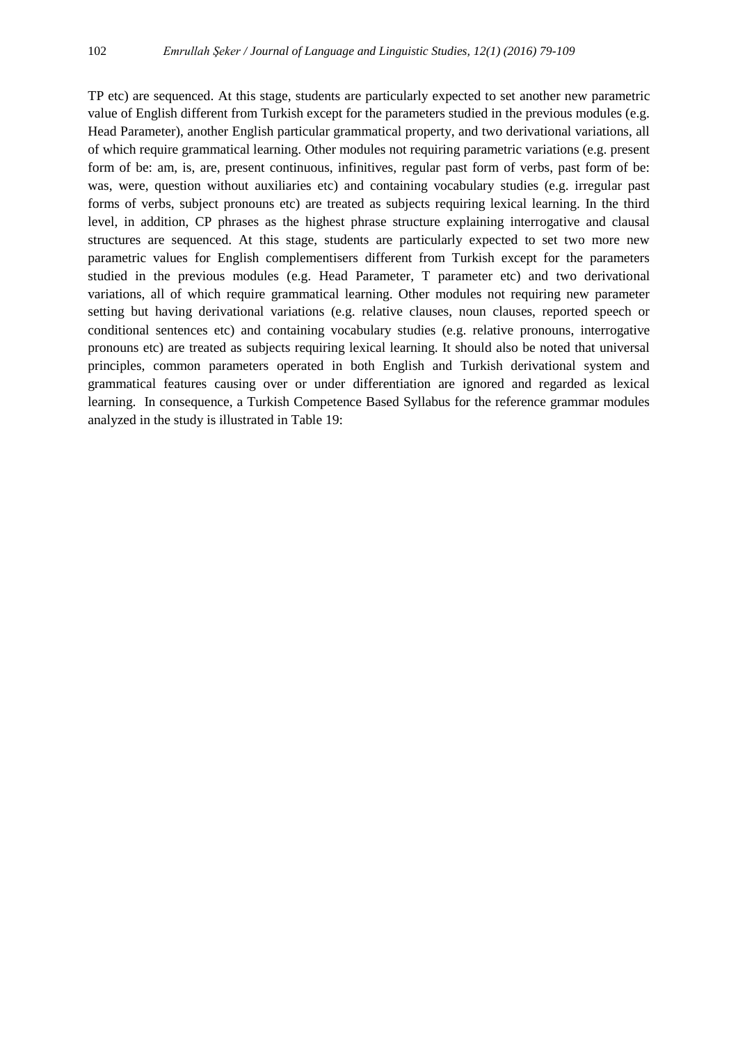TP etc) are sequenced. At this stage, students are particularly expected to set another new parametric value of English different from Turkish except for the parameters studied in the previous modules (e.g. Head Parameter), another English particular grammatical property, and two derivational variations, all of which require grammatical learning. Other modules not requiring parametric variations (e.g. present form of be: am, is, are, present continuous, infinitives, regular past form of verbs, past form of be: was, were, question without auxiliaries etc) and containing vocabulary studies (e.g. irregular past forms of verbs, subject pronouns etc) are treated as subjects requiring lexical learning. In the third level, in addition, CP phrases as the highest phrase structure explaining interrogative and clausal structures are sequenced. At this stage, students are particularly expected to set two more new parametric values for English complementisers different from Turkish except for the parameters studied in the previous modules (e.g. Head Parameter, T parameter etc) and two derivational variations, all of which require grammatical learning. Other modules not requiring new parameter setting but having derivational variations (e.g. relative clauses, noun clauses, reported speech or conditional sentences etc) and containing vocabulary studies (e.g. relative pronouns, interrogative pronouns etc) are treated as subjects requiring lexical learning. It should also be noted that universal principles, common parameters operated in both English and Turkish derivational system and grammatical features causing over or under differentiation are ignored and regarded as lexical learning. In consequence, a Turkish Competence Based Syllabus for the reference grammar modules analyzed in the study is illustrated in Table 19: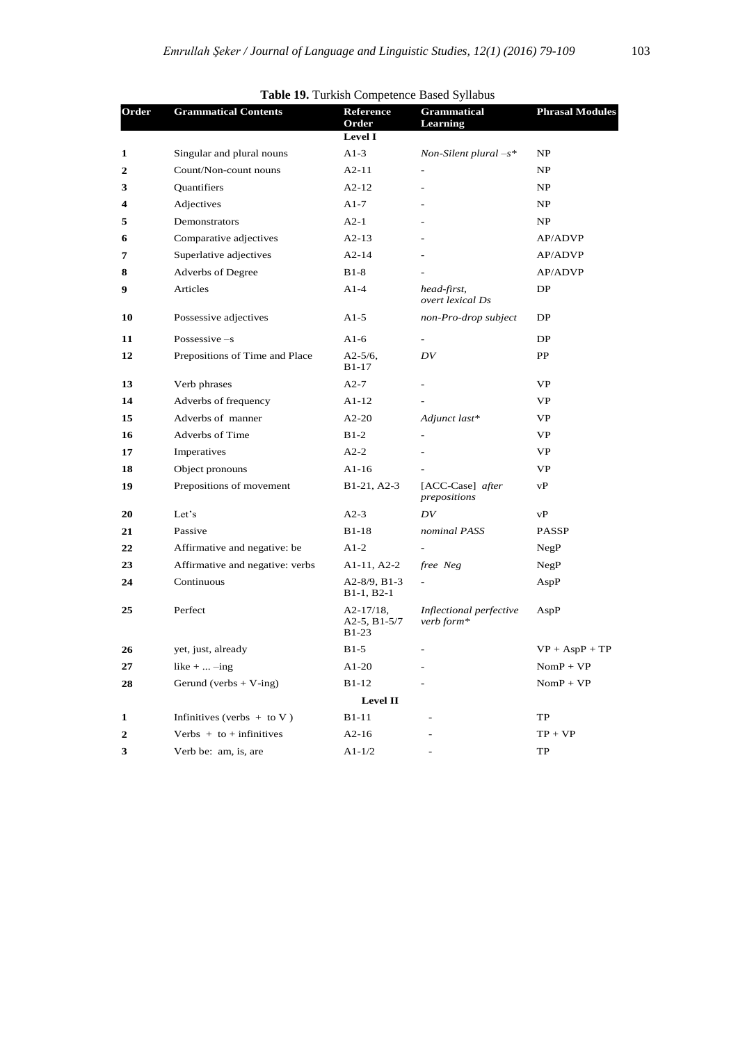|       |                                 |                                            | <b>Table 19.</b> Turkish Competence Based Synabus |                        |
|-------|---------------------------------|--------------------------------------------|---------------------------------------------------|------------------------|
| Order | <b>Grammatical Contents</b>     | Reference<br>Order                         | <b>Grammatical</b><br>Learning                    | <b>Phrasal Modules</b> |
|       |                                 | <b>Level I</b>                             |                                                   |                        |
| 1     | Singular and plural nouns       | $A1-3$                                     | Non-Silent plural $-s^*$                          | NP                     |
| 2     | Count/Non-count nouns           | $A2-11$                                    | $\overline{\phantom{a}}$                          | NP.                    |
| 3     | Quantifiers                     | $A2-12$                                    | $\bar{ }$                                         | NP.                    |
| 4     | Adjectives                      | $A1-7$                                     |                                                   | NP.                    |
| 5     | Demonstrators                   | $A2-1$                                     |                                                   | NP                     |
| 6     | Comparative adjectives          | $A2-13$                                    | $\overline{a}$                                    | AP/ADVP                |
| 7     | Superlative adjectives          | $A2-14$                                    |                                                   | AP/ADVP                |
| 8     | Adverbs of Degree               | $B1-8$                                     |                                                   | <b>AP/ADVP</b>         |
| 9     | Articles                        | $A1-4$                                     | head-first,<br>overt lexical Ds                   | DP                     |
| 10    | Possessive adjectives           | A <sub>1</sub> -5                          | non-Pro-drop subject                              | DP                     |
| 11    | Possessive $-s$                 | A <sub>1</sub> -6                          |                                                   | DP                     |
| 12    | Prepositions of Time and Place  | $A2-5/6$ ,<br>$B1-17$                      | DV                                                | PP                     |
| 13    | Verb phrases                    | $A2-7$                                     |                                                   | VP                     |
| 14    | Adverbs of frequency            | $A1-12$                                    |                                                   | <b>VP</b>              |
| 15    | Adverbs of manner               | $A2-20$                                    | Adjunct last*                                     | <b>VP</b>              |
| 16    | <b>Adverbs of Time</b>          | $B1-2$                                     | $\overline{\phantom{a}}$                          | <b>VP</b>              |
| 17    | Imperatives                     | $A2-2$                                     |                                                   | VP                     |
| 18    | Object pronouns                 | $A1-16$                                    |                                                   | VP                     |
| 19    | Prepositions of movement        | B1-21, A2-3                                | [ACC-Case] after<br>prepositions                  | vP                     |
| 20    | Let's                           | $A2-3$                                     | DV                                                | vP                     |
| 21    | Passive                         | <b>B1-18</b>                               | nominal PASS                                      | <b>PASSP</b>           |
| 22    | Affirmative and negative: be    | $A1-2$                                     |                                                   | NegP                   |
| 23    | Affirmative and negative: verbs | A1-11, A2-2                                | free Neg                                          | NegP                   |
| 24    | Continuous                      | $A2-8/9$ , B <sub>1</sub> -3<br>B1-1, B2-1 | $\frac{1}{2}$                                     | AspP                   |
| 25    | Perfect                         | $A2-17/18$ ,<br>$A2-5$ , $B1-5/7$<br>B1-23 | Inflectional perfective<br>verb form*             | AspP                   |
| 26    | yet, just, already              | $B1-5$                                     |                                                   | $VP + AspP + TP$       |
| 27    | like $+ \dots -$ ing            | $A1-20$                                    |                                                   | $NomP + VP$            |
| 28    | Gerund (verbs $+$ V-ing)        | B1-12                                      |                                                   | $NomP + VP$            |
|       |                                 | Level II                                   |                                                   |                        |
| 1     | Infinitives (verbs $+$ to V)    | B1-11                                      |                                                   | TP                     |
| 2     | Verbs $+$ to $+$ infinitives    | $A2-16$                                    |                                                   | $TP + VP$              |
| 3     | Verb be: am, is, are            | $A1-1/2$                                   |                                                   | TP                     |

**Table 19.** Turkish Competence Based Syllabus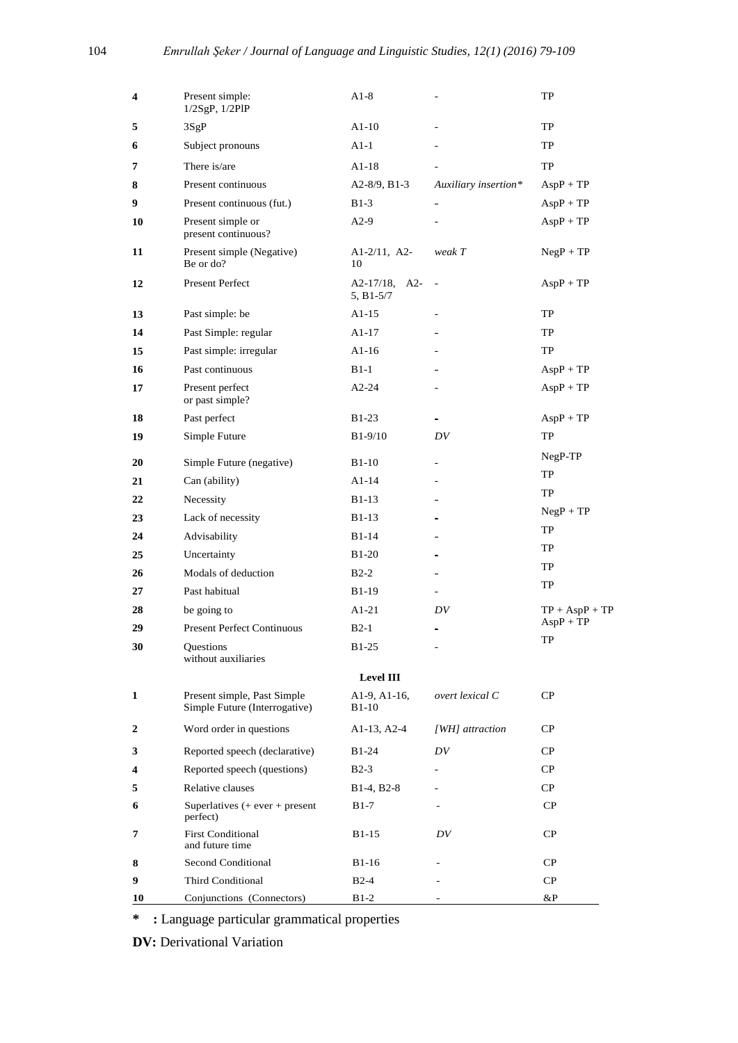| 4  | Present simple:<br>$1/2SgP$ , $1/2PIP$                       | $A1-8$                            |                          | TP               |
|----|--------------------------------------------------------------|-----------------------------------|--------------------------|------------------|
| 5  | 3SgP                                                         | $A1-10$                           |                          | TP               |
| 6  | Subject pronouns                                             | $A1-1$                            |                          | TP               |
| 7  | There is/are                                                 | $A1-18$                           |                          | TP               |
| 8  | Present continuous                                           | $A2-8/9$ , B <sub>1</sub> -3      | Auxiliary insertion*     | $AspP + TP$      |
| 9  | Present continuous (fut.)                                    | $B1-3$                            | ۰                        | $AspP + TP$      |
| 10 | Present simple or<br>present continuous?                     | $A2-9$                            |                          | $AspP + TP$      |
| 11 | Present simple (Negative)<br>Be or do?                       | $A1-2/11$ , $A2-$<br>10           | weak T                   | $NegP + TP$      |
| 12 | <b>Present Perfect</b>                                       | $A2-17/18$ , $A2-$<br>$5, B1-5/7$ |                          | $AspP + TP$      |
| 13 | Past simple: be                                              | $A1-15$                           |                          | TP               |
| 14 | Past Simple: regular                                         | $A1-17$                           |                          | TP               |
| 15 | Past simple: irregular                                       | $A1-16$                           |                          | TP               |
| 16 | Past continuous                                              | $B1-1$                            |                          | $AspP + TP$      |
| 17 | Present perfect<br>or past simple?                           | $A2-24$                           |                          | $AspP + TP$      |
| 18 | Past perfect                                                 | $B1-23$                           | $\blacksquare$           | $AspP + TP$      |
| 19 | Simple Future                                                | $B1-9/10$                         | DV                       | TP               |
| 20 | Simple Future (negative)                                     | $B1-10$                           |                          | NegP-TP          |
| 21 | Can (ability)                                                | $A1-14$                           |                          | TP               |
| 22 | Necessity                                                    | B <sub>1</sub> -13                |                          | TP               |
| 23 | Lack of necessity                                            | B <sub>1</sub> -13                |                          | $NegP + TP$      |
| 24 | Advisability                                                 | $B1-14$                           |                          | TP               |
| 25 | Uncertainty                                                  | <b>B1-20</b>                      |                          | TP               |
| 26 | Modals of deduction                                          | $B2-2$                            |                          | TP               |
| 27 | Past habitual                                                | B <sub>1</sub> -19                |                          | TP               |
| 28 | be going to                                                  | $A1-21$                           | DV                       | $TP + AspP + TP$ |
| 29 | <b>Present Perfect Continuous</b>                            | $B2-1$                            | $\overline{\phantom{0}}$ | $AspP + TP$      |
| 30 | <b>Ouestions</b><br>without auxiliaries                      | B <sub>1</sub> -25                |                          | TP               |
|    |                                                              | <b>Level III</b>                  |                          |                  |
| 1  | Present simple, Past Simple<br>Simple Future (Interrogative) | A1-9, A1-16,<br>$B1-10$           | overt lexical C          | CP.              |
| 2  | Word order in questions                                      | $A1-13, A2-4$                     | [WH] attraction          | CP.              |
| 3  | Reported speech (declarative)                                | B1-24                             | DV                       | CP.              |
| 4  | Reported speech (questions)                                  | $B2-3$                            |                          | CP               |
| 5  | Relative clauses                                             | $B1-4, B2-8$                      |                          | CP.              |
| 6  | Superlatives $($ + ever + present<br>perfect)                | <b>B</b> 1-7                      |                          | CP               |
| 7  | <b>First Conditional</b><br>and future time                  | B1-15                             | DV                       | $\rm CP$         |
| 8  | Second Conditional                                           | B1-16                             |                          | CP               |
| 9  | <b>Third Conditional</b>                                     | $B2-4$                            |                          | CP               |
| 10 | Conjunctions (Connectors)                                    | $B1-2$                            |                          | $\&P$            |

**\* :** Language particular grammatical properties

**DV:** Derivational Variation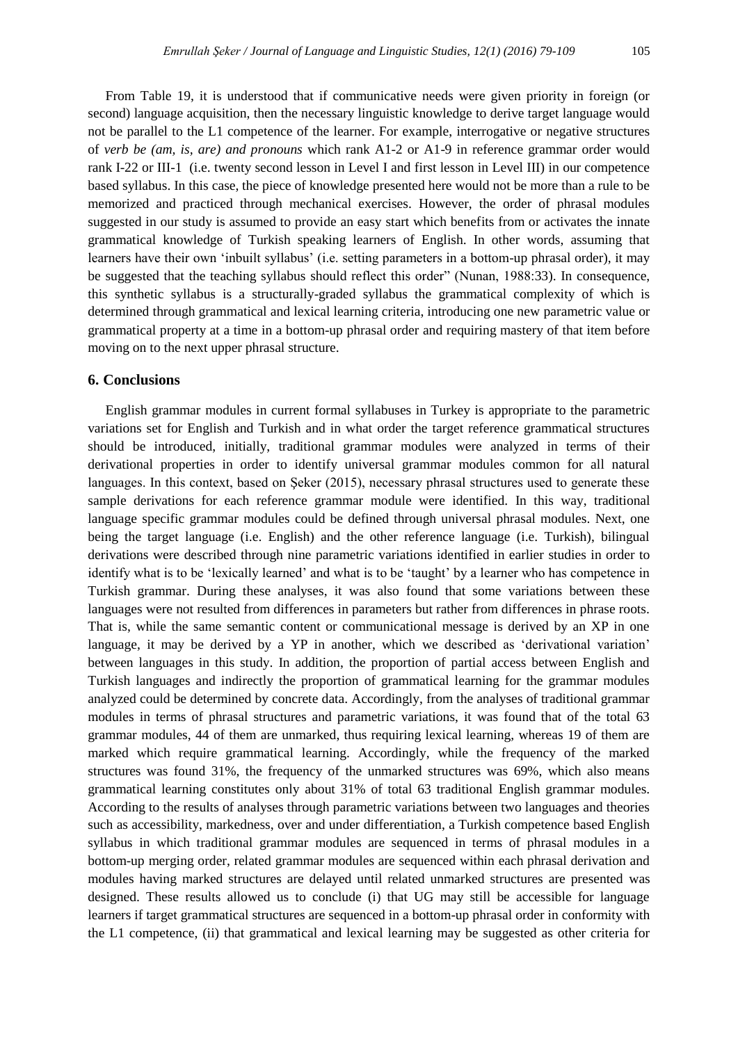From Table 19, it is understood that if communicative needs were given priority in foreign (or second) language acquisition, then the necessary linguistic knowledge to derive target language would not be parallel to the L1 competence of the learner. For example, interrogative or negative structures of *verb be (am, is, are) and pronouns* which rank A1-2 or A1-9 in reference grammar order would rank I-22 or III-1 (i.e. twenty second lesson in Level I and first lesson in Level III) in our competence based syllabus. In this case, the piece of knowledge presented here would not be more than a rule to be memorized and practiced through mechanical exercises. However, the order of phrasal modules suggested in our study is assumed to provide an easy start which benefits from or activates the innate grammatical knowledge of Turkish speaking learners of English. In other words, assuming that learners have their own 'inbuilt syllabus' (i.e. setting parameters in a bottom-up phrasal order), it may be suggested that the teaching syllabus should reflect this order" (Nunan, 1988:33). In consequence, this synthetic syllabus is a structurally-graded syllabus the grammatical complexity of which is determined through grammatical and lexical learning criteria, introducing one new parametric value or grammatical property at a time in a bottom-up phrasal order and requiring mastery of that item before moving on to the next upper phrasal structure.

# **6. Conclusions**

English grammar modules in current formal syllabuses in Turkey is appropriate to the parametric variations set for English and Turkish and in what order the target reference grammatical structures should be introduced, initially, traditional grammar modules were analyzed in terms of their derivational properties in order to identify universal grammar modules common for all natural languages. In this context, based on Şeker (2015), necessary phrasal structures used to generate these sample derivations for each reference grammar module were identified. In this way, traditional language specific grammar modules could be defined through universal phrasal modules. Next, one being the target language (i.e. English) and the other reference language (i.e. Turkish), bilingual derivations were described through nine parametric variations identified in earlier studies in order to identify what is to be "lexically learned" and what is to be "taught" by a learner who has competence in Turkish grammar. During these analyses, it was also found that some variations between these languages were not resulted from differences in parameters but rather from differences in phrase roots. That is, while the same semantic content or communicational message is derived by an XP in one language, it may be derived by a YP in another, which we described as 'derivational variation' between languages in this study. In addition, the proportion of partial access between English and Turkish languages and indirectly the proportion of grammatical learning for the grammar modules analyzed could be determined by concrete data. Accordingly, from the analyses of traditional grammar modules in terms of phrasal structures and parametric variations, it was found that of the total 63 grammar modules, 44 of them are unmarked, thus requiring lexical learning, whereas 19 of them are marked which require grammatical learning. Accordingly, while the frequency of the marked structures was found 31%, the frequency of the unmarked structures was 69%, which also means grammatical learning constitutes only about 31% of total 63 traditional English grammar modules. According to the results of analyses through parametric variations between two languages and theories such as accessibility, markedness, over and under differentiation, a Turkish competence based English syllabus in which traditional grammar modules are sequenced in terms of phrasal modules in a bottom-up merging order, related grammar modules are sequenced within each phrasal derivation and modules having marked structures are delayed until related unmarked structures are presented was designed. These results allowed us to conclude (i) that UG may still be accessible for language learners if target grammatical structures are sequenced in a bottom-up phrasal order in conformity with the L1 competence, (ii) that grammatical and lexical learning may be suggested as other criteria for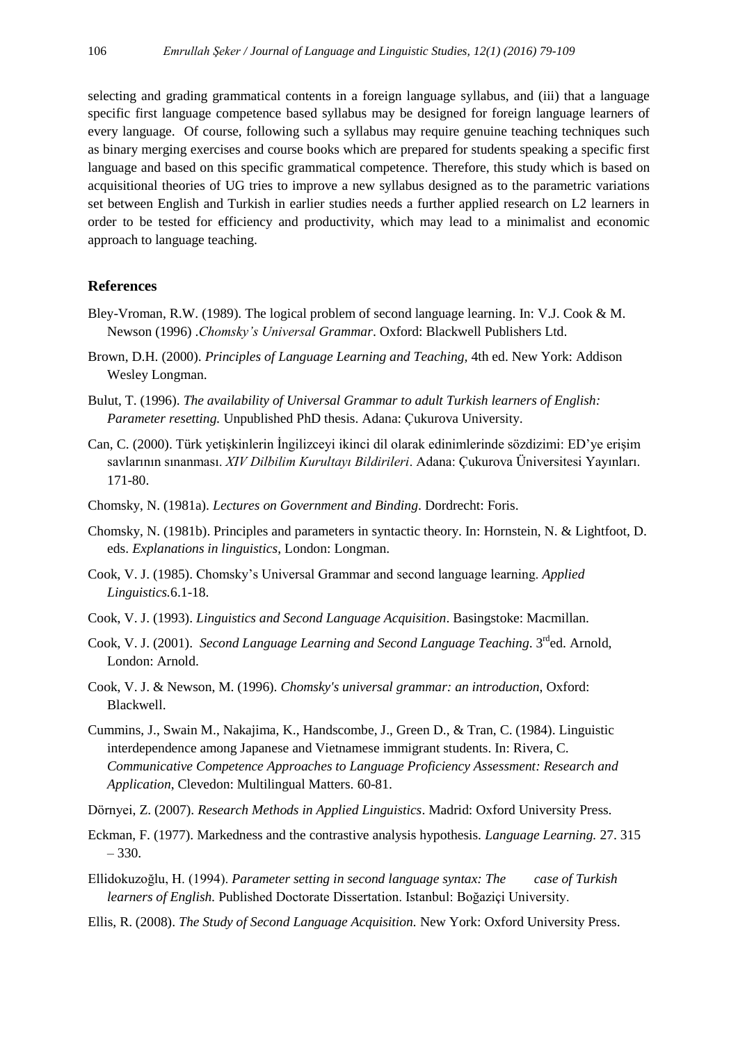selecting and grading grammatical contents in a foreign language syllabus, and (iii) that a language specific first language competence based syllabus may be designed for foreign language learners of every language. Of course, following such a syllabus may require genuine teaching techniques such as binary merging exercises and course books which are prepared for students speaking a specific first language and based on this specific grammatical competence. Therefore, this study which is based on acquisitional theories of UG tries to improve a new syllabus designed as to the parametric variations set between English and Turkish in earlier studies needs a further applied research on L2 learners in order to be tested for efficiency and productivity, which may lead to a minimalist and economic approach to language teaching.

# **References**

- Bley-Vroman, R.W. (1989). The logical problem of second language learning. In: V.J. Cook & M. Newson (1996) .*Chomsky's Universal Grammar*. Oxford: Blackwell Publishers Ltd.
- Brown, D.H. (2000). *Principles of Language Learning and Teaching,* 4th ed. New York: Addison Wesley Longman.
- Bulut, T. (1996). *The availability of Universal Grammar to adult Turkish learners of English: Parameter resetting.* Unpublished PhD thesis. Adana: Çukurova University.
- Can, C. (2000). Türk yetişkinlerin İngilizceyi ikinci dil olarak edinimlerinde sözdizimi: ED"ye erişim savlarının sınanması. *XIV Dilbilim Kurultayı Bildirileri*. Adana: Çukurova Üniversitesi Yayınları. 171-80.
- Chomsky, N. (1981a). *Lectures on Government and Binding*. Dordrecht: Foris.
- Chomsky, N. (1981b). Principles and parameters in syntactic theory. In: Hornstein, N. & Lightfoot, D. eds. *Explanations in linguistics*, London: Longman.
- Cook, V. J. (1985). Chomsky"s Universal Grammar and second language learning. *Applied Linguistics.*6.1-18.
- Cook, V. J. (1993). *Linguistics and Second Language Acquisition*. Basingstoke: Macmillan.
- Cook, V. J. (2001). *Second Language Learning and Second Language Teaching*. 3<sup>rd</sup>ed. Arnold, London: Arnold.
- Cook, V. J. & Newson, M. (1996). *Chomsky's universal grammar: an introduction*, Oxford: Blackwell.
- Cummins, J., Swain M., Nakajima, K., Handscombe, J., Green D., & Tran, C. (1984). Linguistic interdependence among Japanese and Vietnamese immigrant students. In: Rivera, C. *Communicative Competence Approaches to Language Proficiency Assessment: Research and Application*, Clevedon: Multilingual Matters. 60-81.
- Dörnyei, Z. (2007). *Research Methods in Applied Linguistics*. Madrid: Oxford University Press.
- Eckman, F. (1977). Markedness and the contrastive analysis hypothesis. *Language Learning.* 27. 315 – 330.
- Ellidokuzoğlu, H. (1994). *Parameter setting in second language syntax: The case of Turkish learners of English.* Published Doctorate Dissertation. Istanbul: Boğaziçi University.
- Ellis, R. (2008). *The Study of Second Language Acquisition.* New York: Oxford University Press.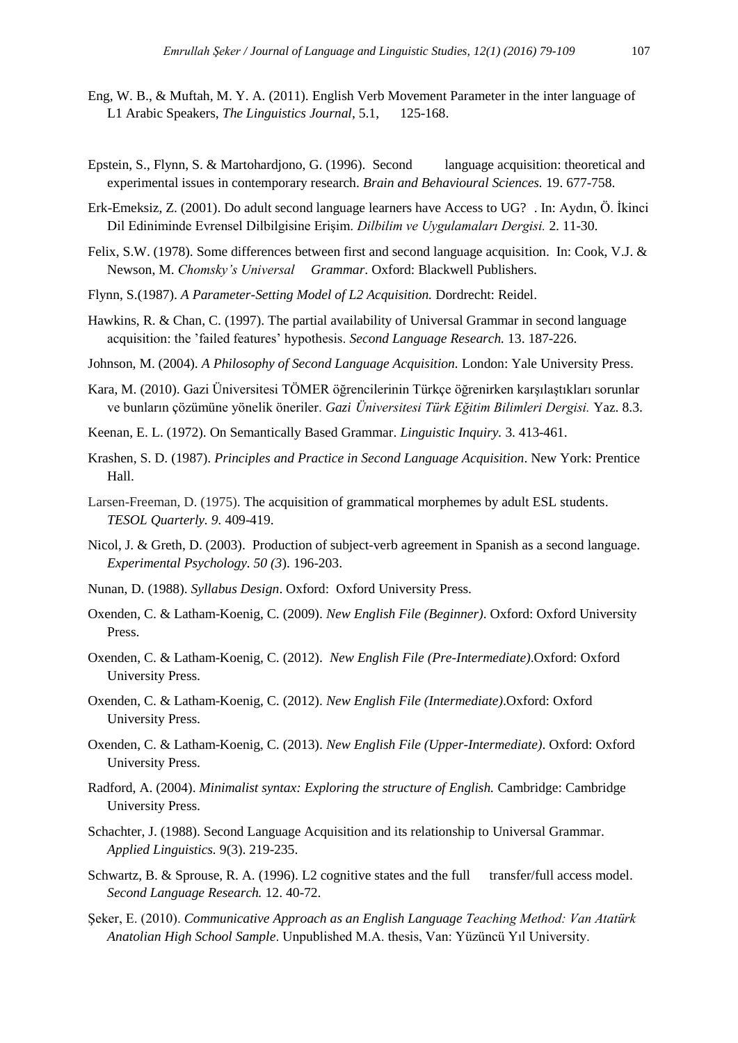- Eng, W. B., & Muftah, M. Y. A. (2011). English Verb Movement Parameter in the inter language of L1 Arabic Speakers, *The Linguistics Journal*, 5.1, 125-168.
- Epstein, S., Flynn, S. & Martohardjono, G. (1996). Second language acquisition: theoretical and experimental issues in contemporary research. *Brain and Behavioural Sciences.* 19. 677-758.
- Erk-Emeksiz, Z. (2001). Do adult second language learners have Access to UG? . In: Aydın, Ö. İkinci Dil Ediniminde Evrensel Dilbilgisine Erişim. *Dilbilim ve Uygulamaları Dergisi.* 2. 11-30.
- Felix, S.W. (1978). Some differences between first and second language acquisition. In: Cook, V.J. & Newson, M. *Chomsky's Universal Grammar*. Oxford: Blackwell Publishers.
- Flynn, S.(1987). *A Parameter-Setting Model of L2 Acquisition.* Dordrecht: Reidel.
- Hawkins, R. & Chan, C. (1997). The partial availability of Universal Grammar in second language acquisition: the "failed features" hypothesis. *Second Language Research.* 13. 187-226.
- Johnson, M. (2004). *A Philosophy of Second Language Acquisition.* London: Yale University Press.
- Kara, M. (2010). Gazi Üniversitesi TÖMER öğrencilerinin Türkçe öğrenirken karşılaştıkları sorunlar ve bunların çözümüne yönelik öneriler. *Gazi Üniversitesi Türk Eğitim Bilimleri Dergisi.* Yaz. 8.3.
- Keenan, E. L. (1972). On Semantically Based Grammar. *Linguistic Inquiry.* 3. 413-461.
- Krashen, S. D. (1987). *Principles and Practice in Second Language Acquisition*. New York: Prentice Hall.
- Larsen-Freeman, D. (1975). The acquisition of grammatical morphemes by adult ESL students. *TESOL Quarterly. 9.* 409-419.
- Nicol, J. & Greth, D. (2003). Production of subject-verb agreement in Spanish as a second language. *Experimental Psychology. 50 (3*). 196-203.
- Nunan, D. (1988). *Syllabus Design*. Oxford: Oxford University Press.
- Oxenden, C. & Latham-Koenig, C. (2009). *New English File (Beginner)*. Oxford: Oxford University Press.
- Oxenden, C. & Latham-Koenig, C. (2012). *New English File (Pre-Intermediate)*.Oxford: Oxford University Press.
- Oxenden, C. & Latham-Koenig, C. (2012). *New English File (Intermediate)*.Oxford: Oxford University Press.
- Oxenden, C. & Latham-Koenig, C. (2013). *New English File (Upper-Intermediate)*. Oxford: Oxford University Press.
- Radford, A. (2004). *Minimalist syntax: Exploring the structure of English.* Cambridge: Cambridge University Press.
- Schachter, J. (1988). Second Language Acquisition and its relationship to Universal Grammar. *Applied Linguistics.* 9(3). 219-235.
- Schwartz, B. & Sprouse, R. A. (1996). L2 cognitive states and the full transfer/full access model. *Second Language Research.* 12. 40-72.
- Şeker, E. (2010). *Communicative Approach as an English Language Teaching Method: Van Atatürk Anatolian High School Sample*. Unpublished M.A. thesis, Van: Yüzüncü Yıl University.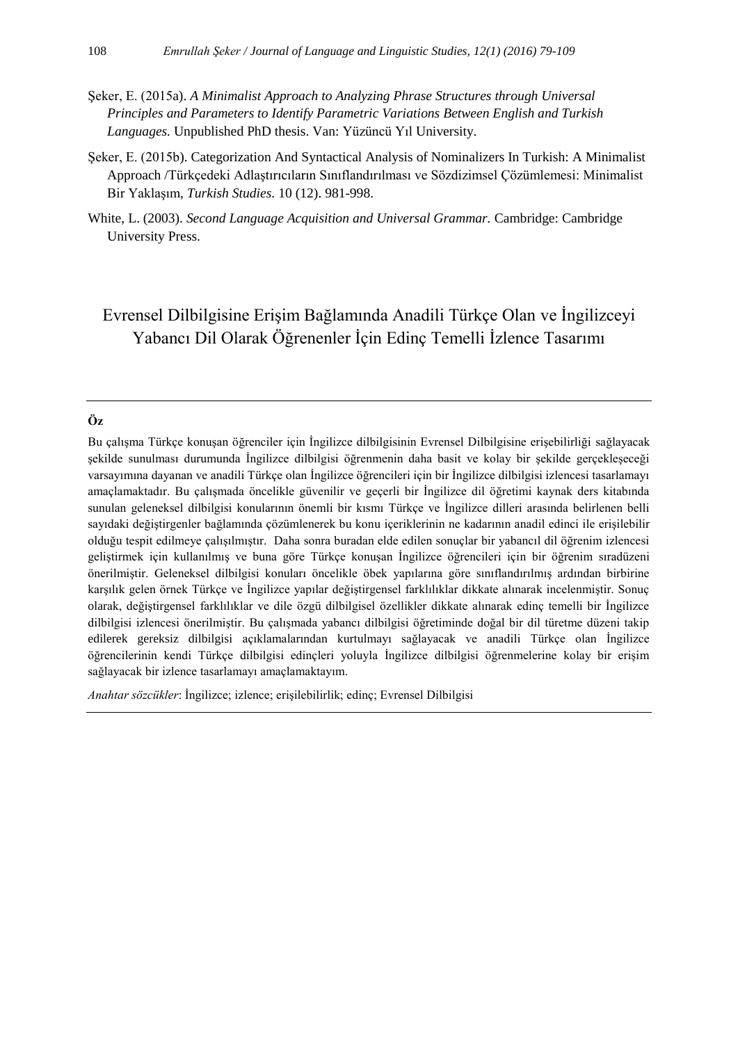- Şeker, E. (2015a). *A Minimalist Approach to Analyzing Phrase Structures through Universal Principles and Parameters to Identify Parametric Variations Between English and Turkish Languages.* Unpublished PhD thesis. Van: Yüzüncü Yıl University.
- Seker, E. (2015b). Categorization And Syntactical Analysis of Nominalizers In Turkish: A Minimalist Approach /Türkçedeki Adlaştırıcıların Sınıflandırılması ve Sözdizimsel Çözümlemesi: Minimalist Bir Yaklaşım, *Turkish Studies.* 10 (12). 981-998.
- White, L. (2003). *Second Language Acquisition and Universal Grammar.* Cambridge: Cambridge University Press.

# Evrensel Dilbilgisine Erişim Bağlamında Anadili Türkçe Olan ve İngilizceyi Yabancı Dil Olarak Öğrenenler İçin Edinç Temelli İzlence Tasarımı

# **Öz**

Bu çalışma Türkçe konuşan öğrenciler için İngilizce dilbilgisinin Evrensel Dilbilgisine erişebilirliği sağlayacak şekilde sunulması durumunda İngilizce dilbilgisi öğrenmenin daha basit ve kolay bir şekilde gerçekleşeceği varsayımına dayanan ve anadili Türkçe olan İngilizce öğrencileri için bir İngilizce dilbilgisi izlencesi tasarlamayı amaçlamaktadır. Bu çalışmada öncelikle güvenilir ve geçerli bir İngilizce dil öğretimi kaynak ders kitabında sunulan geleneksel dilbilgisi konularının önemli bir kısmı Türkçe ve İngilizce dilleri arasında belirlenen belli sayıdaki değiştirgenler bağlamında çözümlenerek bu konu içeriklerinin ne kadarının anadil edinci ile erişilebilir olduğu tespit edilmeye çalışılmıştır. Daha sonra buradan elde edilen sonuçlar bir yabancıl dil öğrenim izlencesi geliştirmek için kullanılmış ve buna göre Türkçe konuşan İngilizce öğrencileri için bir öğrenim sıradüzeni önerilmiştir. Geleneksel dilbilgisi konuları öncelikle öbek yapılarına göre sınıflandırılmış ardından birbirine karşılık gelen örnek Türkçe ve İngilizce yapılar değiştirgensel farklılıklar dikkate alınarak incelenmiştir. Sonuç olarak, değiştirgensel farklılıklar ve dile özgü dilbilgisel özellikler dikkate alınarak edinç temelli bir İngilizce dilbilgisi izlencesi önerilmiştir. Bu çalışmada yabancı dilbilgisi öğretiminde doğal bir dil türetme düzeni takip edilerek gereksiz dilbilgisi açıklamalarından kurtulmayı sağlayacak ve anadili Türkçe olan İngilizce öğrencilerinin kendi Türkçe dilbilgisi edinçleri yoluyla İngilizce dilbilgisi öğrenmelerine kolay bir erişim sağlayacak bir izlence tasarlamayı amaçlamaktayım.

*Anahtar sözcükler*: İngilizce; izlence; erişilebilirlik; edinç; Evrensel Dilbilgisi